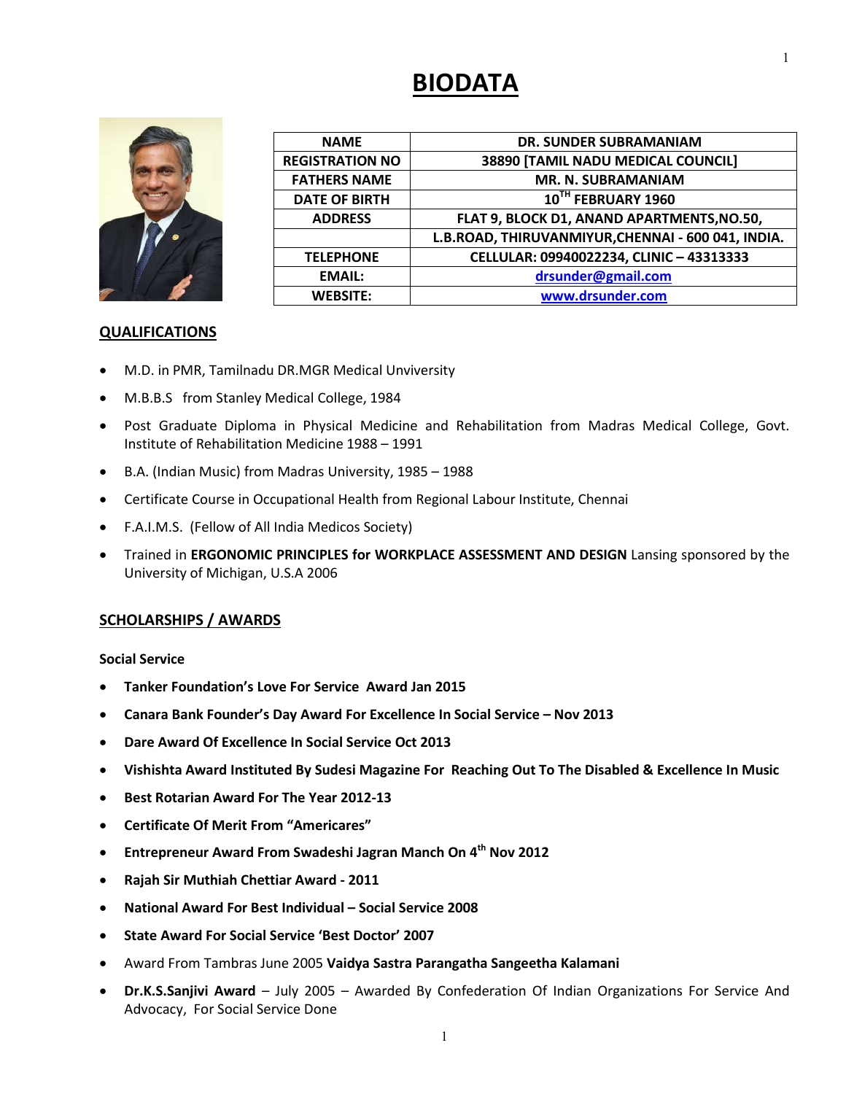# **BIODATA**



| <b>NAME</b>            | <b>DR. SUNDER SUBRAMANIAM</b>                      |
|------------------------|----------------------------------------------------|
| <b>REGISTRATION NO</b> | 38890 [TAMIL NADU MEDICAL COUNCIL]                 |
| <b>FATHERS NAME</b>    | <b>MR. N. SUBRAMANIAM</b>                          |
| <b>DATE OF BIRTH</b>   | 10TH FEBRUARY 1960                                 |
| <b>ADDRESS</b>         | FLAT 9, BLOCK D1, ANAND APARTMENTS, NO.50,         |
|                        | L.B.ROAD, THIRUVANMIYUR, CHENNAI - 600 041, INDIA. |
| <b>TELEPHONE</b>       | CELLULAR: 09940022234, CLINIC - 43313333           |
| <b>EMAIL:</b>          | drsunder@gmail.com                                 |
| <b>WEBSITE:</b>        | www.drsunder.com                                   |

#### **QUALIFICATIONS**

- M.D. in PMR, Tamilnadu DR.MGR Medical Unviversity
- M.B.B.S from Stanley Medical College, 1984
- Post Graduate Diploma in Physical Medicine and Rehabilitation from Madras Medical College, Govt. Institute of Rehabilitation Medicine 1988 – 1991
- B.A. (Indian Music) from Madras University, 1985 1988
- Certificate Course in Occupational Health from Regional Labour Institute, Chennai
- F.A.I.M.S. (Fellow of All India Medicos Society)
- Trained in **ERGONOMIC PRINCIPLES for WORKPLACE ASSESSMENT AND DESIGN** Lansing sponsored by the University of Michigan, U.S.A 2006

#### **SCHOLARSHIPS / AWARDS**

**Social Service**

- **Tanker Foundation's Love For Service Award Jan 2015**
- **Canara Bank Founder's Day Award For Excellence In Social Service – Nov 2013**
- **Dare Award Of Excellence In Social Service Oct 2013**
- **Vishishta Award Instituted By Sudesi Magazine For Reaching Out To The Disabled & Excellence In Music**
- **Best Rotarian Award For The Year 2012-13**
- **Certificate Of Merit From "Americares"**
- **Entrepreneur Award From Swadeshi Jagran Manch On 4th Nov 2012**
- **Rajah Sir Muthiah Chettiar Award - 2011**
- **National Award For Best Individual – Social Service 2008**
- **State Award For Social Service 'Best Doctor' 2007**
- Award From Tambras June 2005 **Vaidya Sastra Parangatha Sangeetha Kalamani**
- **Dr.K.S.Sanjivi Award** July 2005 Awarded By Confederation Of Indian Organizations For Service And Advocacy, For Social Service Done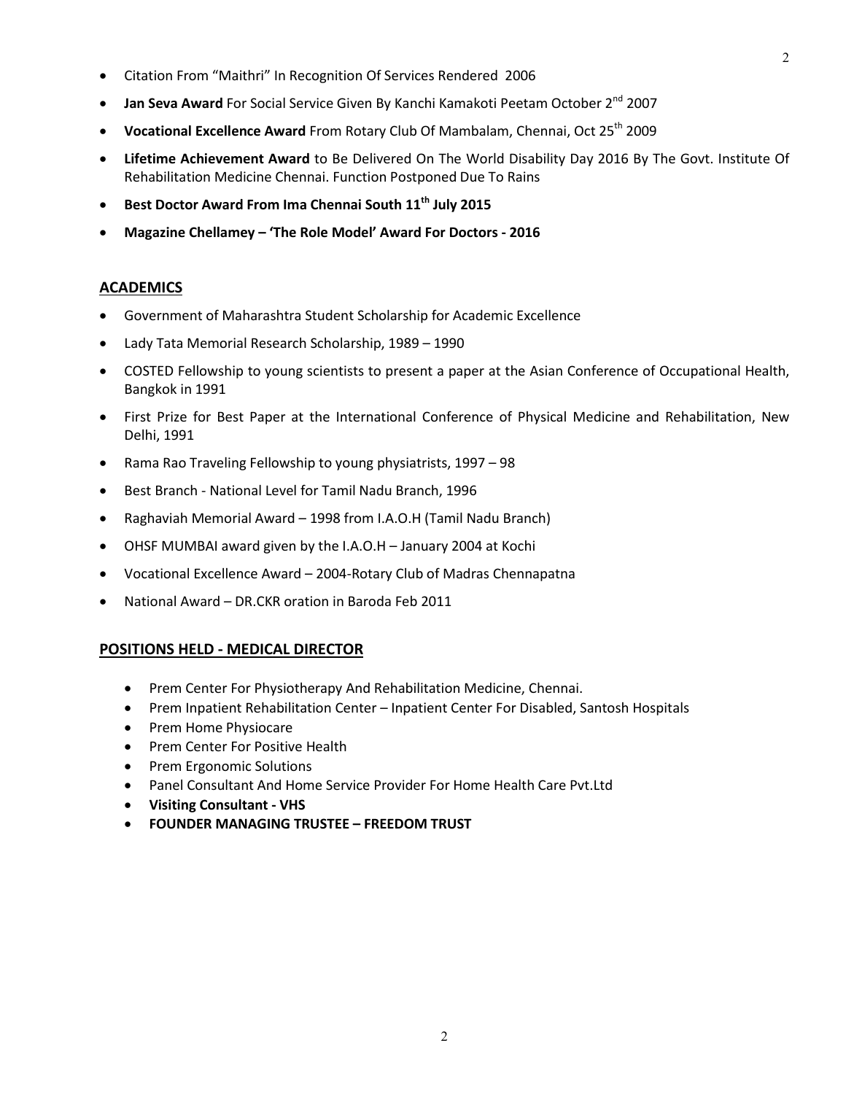- Citation From "Maithri" In Recognition Of Services Rendered 2006
- **Jan Seva Award** For Social Service Given By Kanchi Kamakoti Peetam October 2<sup>nd</sup> 2007
- **Vocational Excellence Award** From Rotary Club Of Mambalam, Chennai, Oct 25<sup>th</sup> 2009
- **Lifetime Achievement Award** to Be Delivered On The World Disability Day 2016 By The Govt. Institute Of Rehabilitation Medicine Chennai. Function Postponed Due To Rains
- **Best Doctor Award From Ima Chennai South 11th July 2015**
- **Magazine Chellamey – 'The Role Model' Award For Doctors - 2016**

#### **ACADEMICS**

- Government of Maharashtra Student Scholarship for Academic Excellence
- Lady Tata Memorial Research Scholarship, 1989 1990
- COSTED Fellowship to young scientists to present a paper at the Asian Conference of Occupational Health, Bangkok in 1991
- First Prize for Best Paper at the International Conference of Physical Medicine and Rehabilitation, New Delhi, 1991
- Rama Rao Traveling Fellowship to young physiatrists, 1997 98
- Best Branch National Level for Tamil Nadu Branch, 1996
- Raghaviah Memorial Award 1998 from I.A.O.H (Tamil Nadu Branch)
- OHSF MUMBAI award given by the I.A.O.H January 2004 at Kochi
- Vocational Excellence Award 2004-Rotary Club of Madras Chennapatna
- National Award DR.CKR oration in Baroda Feb 2011

### **POSITIONS HELD - MEDICAL DIRECTOR**

- Prem Center For Physiotherapy And Rehabilitation Medicine, Chennai.
- Prem Inpatient Rehabilitation Center Inpatient Center For Disabled, Santosh Hospitals
- Prem Home Physiocare
- Prem Center For Positive Health
- Prem Ergonomic Solutions
- Panel Consultant And Home Service Provider For Home Health Care Pvt.Ltd
- **Visiting Consultant - VHS**
- **FOUNDER MANAGING TRUSTEE – FREEDOM TRUST**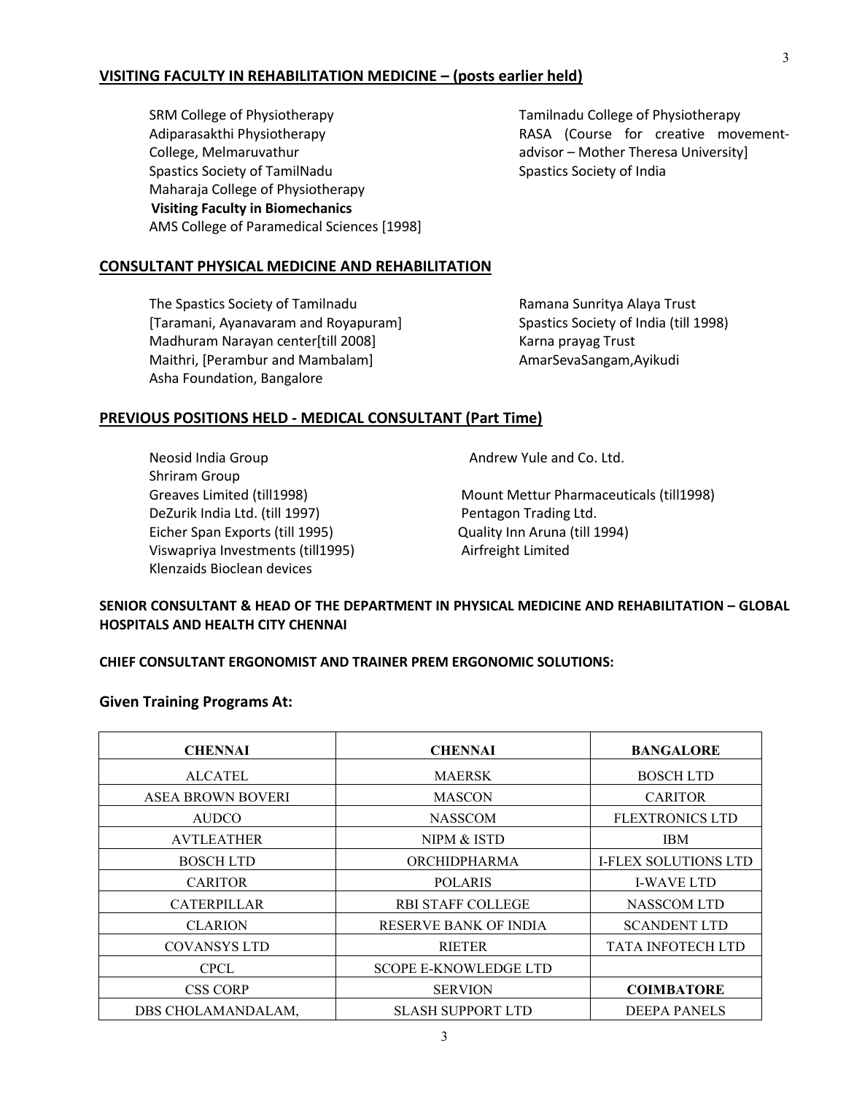#### **VISITING FACULTY IN REHABILITATION MEDICINE – (posts earlier held)**

SRM College of Physiotherapy Adiparasakthi Physiotherapy College, Melmaruvathur Spastics Society of TamilNadu Maharaja College of Physiotherapy  **Visiting Faculty in Biomechanics** AMS College of Paramedical Sciences [1998]

Tamilnadu College of Physiotherapy RASA (Course for creative movementadvisor – Mother Theresa University] Spastics Society of India

#### **CONSULTANT PHYSICAL MEDICINE AND REHABILITATION**

The Spastics Society of Tamilnadu [Taramani, Ayanavaram and Royapuram] Madhuram Narayan center[till 2008] Maithri, [Perambur and Mambalam] Asha Foundation, Bangalore

Ramana Sunritya Alaya Trust Spastics Society of India (till 1998) Karna prayag Trust AmarSevaSangam,Ayikudi

#### **PREVIOUS POSITIONS HELD - MEDICAL CONSULTANT (Part Time)**

Neosid India Group Shriram Group DeZurik India Ltd. (till 1997) Pentagon Trading Ltd. Eicher Span Exports (till 1995) Quality Inn Aruna (till 1994) Viswapriya Investments (till1995) Airfreight Limited Klenzaids Bioclean devices

Andrew Yule and Co. Ltd.

Greaves Limited (till1998) Mount Mettur Pharmaceuticals (till1998)

#### **SENIOR CONSULTANT & HEAD OF THE DEPARTMENT IN PHYSICAL MEDICINE AND REHABILITATION – GLOBAL HOSPITALS AND HEALTH CITY CHENNAI**

#### **CHIEF CONSULTANT ERGONOMIST AND TRAINER PREM ERGONOMIC SOLUTIONS:**

#### **Given Training Programs At:**

| <b>CHENNAI</b>           | <b>CHENNAI</b>               | <b>BANGALORE</b>            |
|--------------------------|------------------------------|-----------------------------|
| <b>ALCATEL</b>           | <b>MAERSK</b>                | <b>BOSCHLTD</b>             |
| <b>ASEA BROWN BOVERI</b> | <b>MASCON</b>                | <b>CARITOR</b>              |
| <b>AUDCO</b>             | <b>NASSCOM</b>               | <b>FLEXTRONICS LTD</b>      |
| <b>AVTLEATHER</b>        | NIPM & ISTD                  | <b>IBM</b>                  |
| <b>BOSCH LTD</b>         | ORCHIDPHARMA                 | <b>I-FLEX SOLUTIONS LTD</b> |
| <b>CARITOR</b>           | <b>POLARIS</b>               | <b>I-WAVE LTD</b>           |
| <b>CATERPILLAR</b>       | <b>RBI STAFF COLLEGE</b>     | NASSCOM LTD                 |
| <b>CLARION</b>           | <b>RESERVE BANK OF INDIA</b> | <b>SCANDENT LTD</b>         |
| <b>COVANSYS LTD</b>      | <b>RIETER</b>                | <b>TATA INFOTECH LTD</b>    |
| <b>CPCL</b>              | <b>SCOPE E-KNOWLEDGE LTD</b> |                             |
| <b>CSS CORP</b>          | <b>SERVION</b>               | <b>COIMBATORE</b>           |
| DBS CHOLAMANDALAM,       | <b>SLASH SUPPORT LTD</b>     | <b>DEEPA PANELS</b>         |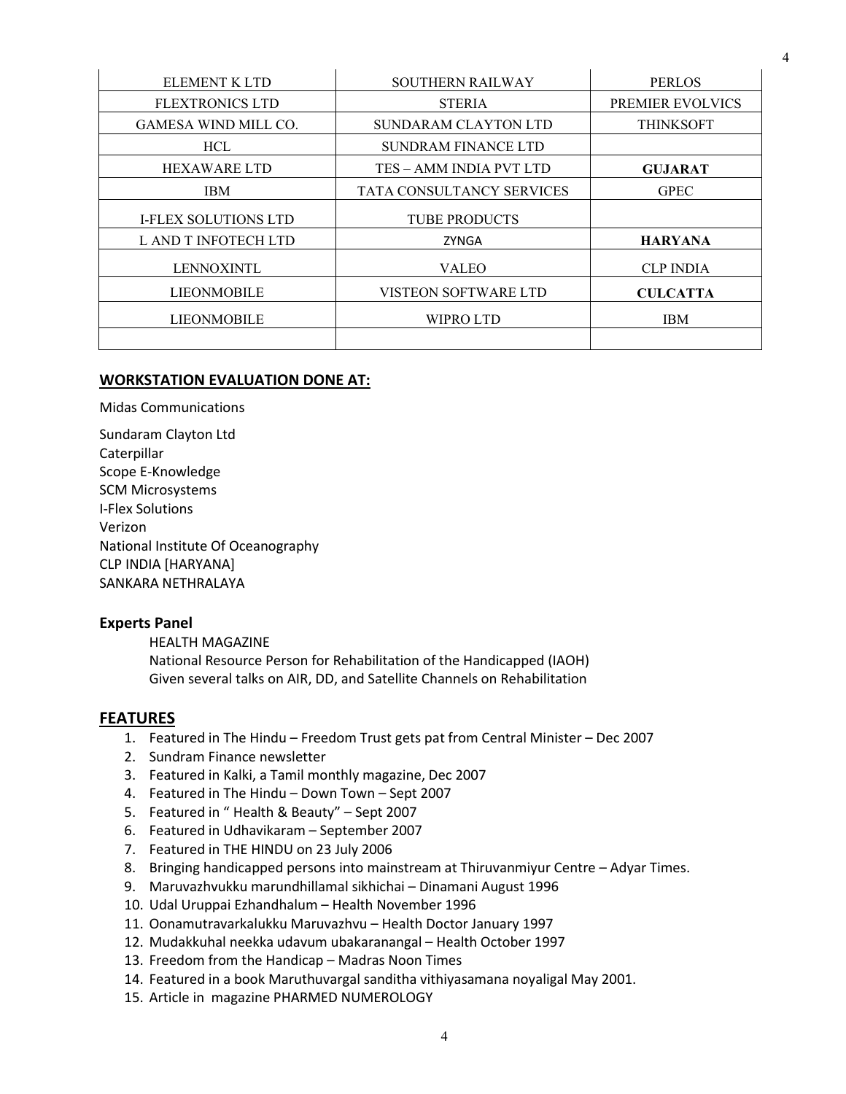| <b>ELEMENT K LTD</b>        | <b>SOUTHERN RAILWAY</b>          | <b>PERLOS</b>    |
|-----------------------------|----------------------------------|------------------|
| <b>FLEXTRONICS LTD</b>      | <b>STERIA</b>                    | PREMIER EVOLVICS |
| <b>GAMESA WIND MILL CO.</b> | SUNDARAM CLAYTON LTD             | <b>THINKSOFT</b> |
| <b>HCL</b>                  | <b>SUNDRAM FINANCE LTD</b>       |                  |
| <b>HEXAWARE LTD</b>         | TES – AMM INDIA PVT LTD          | <b>GUJARAT</b>   |
| <b>IBM</b>                  | <b>TATA CONSULTANCY SERVICES</b> | <b>GPEC</b>      |
| <b>I-FLEX SOLUTIONS LTD</b> | <b>TUBE PRODUCTS</b>             |                  |
| L AND T INFOTECH LTD        | ZYNGA                            | <b>HARYANA</b>   |
| <b>LENNOXINTL</b>           | <b>VALEO</b>                     | <b>CLP INDIA</b> |
| <b>LIEONMOBILE</b>          | <b>VISTEON SOFTWARE LTD</b>      | <b>CULCATTA</b>  |
| <b>LIEONMOBILE</b>          | <b>WIPRO LTD</b>                 | <b>IBM</b>       |
|                             |                                  |                  |

#### **WORKSTATION EVALUATION DONE AT:**

Midas Communications

Sundaram Clayton Ltd Caterpillar Scope E-Knowledge SCM Microsystems I-Flex Solutions Verizon National Institute Of Oceanography CLP INDIA [HARYANA] SANKARA NETHRALAYA

#### **Experts Panel**

HEALTH MAGAZINE National Resource Person for Rehabilitation of the Handicapped (IAOH) Given several talks on AIR, DD, and Satellite Channels on Rehabilitation

#### **FEATURES**

- 1. Featured in The Hindu Freedom Trust gets pat from Central Minister Dec 2007
- 2. Sundram Finance newsletter
- 3. Featured in Kalki, a Tamil monthly magazine, Dec 2007
- 4. Featured in The Hindu Down Town Sept 2007
- 5. Featured in " Health & Beauty" Sept 2007
- 6. Featured in Udhavikaram September 2007
- 7. Featured in THE HINDU on 23 July 2006
- 8. Bringing handicapped persons into mainstream at Thiruvanmiyur Centre Adyar Times.
- 9. Maruvazhvukku marundhillamal sikhichai Dinamani August 1996
- 10. Udal Uruppai Ezhandhalum Health November 1996
- 11. Oonamutravarkalukku Maruvazhvu Health Doctor January 1997
- 12. Mudakkuhal neekka udavum ubakaranangal Health October 1997
- 13. Freedom from the Handicap Madras Noon Times
- 14. Featured in a book Maruthuvargal sanditha vithiyasamana noyaligal May 2001.
- 15. Article in magazine PHARMED NUMEROLOGY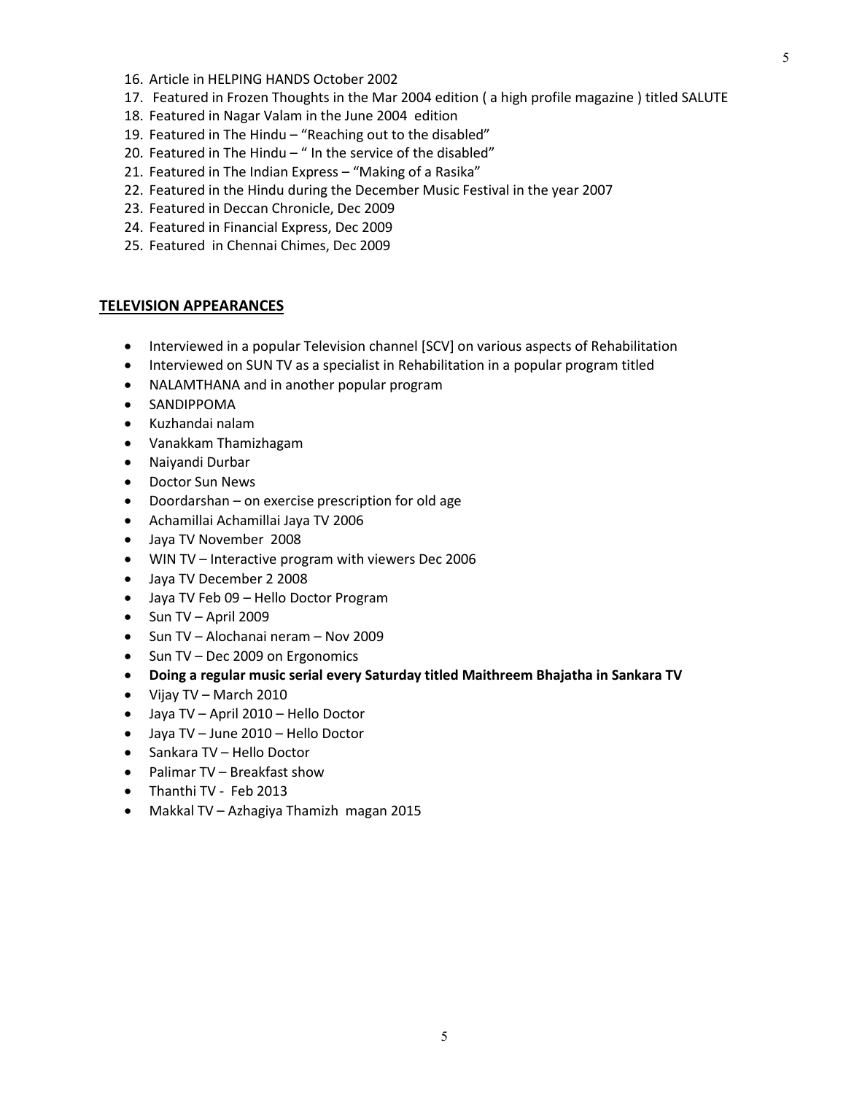- 16. Article in HELPING HANDS October 2002
- 17. Featured in Frozen Thoughts in the Mar 2004 edition ( a high profile magazine ) titled SALUTE
- 18. Featured in Nagar Valam in the June 2004 edition
- 19. Featured in The Hindu "Reaching out to the disabled"
- 20. Featured in The Hindu " In the service of the disabled"
- 21. Featured in The Indian Express "Making of a Rasika"
- 22. Featured in the Hindu during the December Music Festival in the year 2007
- 23. Featured in Deccan Chronicle, Dec 2009
- 24. Featured in Financial Express, Dec 2009
- 25. Featured in Chennai Chimes, Dec 2009

#### **TELEVISION APPEARANCES**

- Interviewed in a popular Television channel [SCV] on various aspects of Rehabilitation
- Interviewed on SUN TV as a specialist in Rehabilitation in a popular program titled
- NALAMTHANA and in another popular program
- SANDIPPOMA
- Kuzhandai nalam
- Vanakkam Thamizhagam
- Naiyandi Durbar
- Doctor Sun News
- Doordarshan on exercise prescription for old age
- Achamillai Achamillai Jaya TV 2006
- Jaya TV November 2008
- WIN TV Interactive program with viewers Dec 2006
- Jaya TV December 2 2008
- Jaya TV Feb 09 Hello Doctor Program
- $\bullet$  Sun TV April 2009
- Sun TV Alochanai neram Nov 2009
- Sun TV Dec 2009 on Ergonomics
- **Doing a regular music serial every Saturday titled Maithreem Bhajatha in Sankara TV**
- Vijay TV March 2010
- Jaya TV April 2010 Hello Doctor
- Jaya TV June 2010 Hello Doctor
- Sankara TV Hello Doctor
- Palimar TV Breakfast show
- Thanthi TV Feb 2013
- Makkal TV Azhagiya Thamizh magan 2015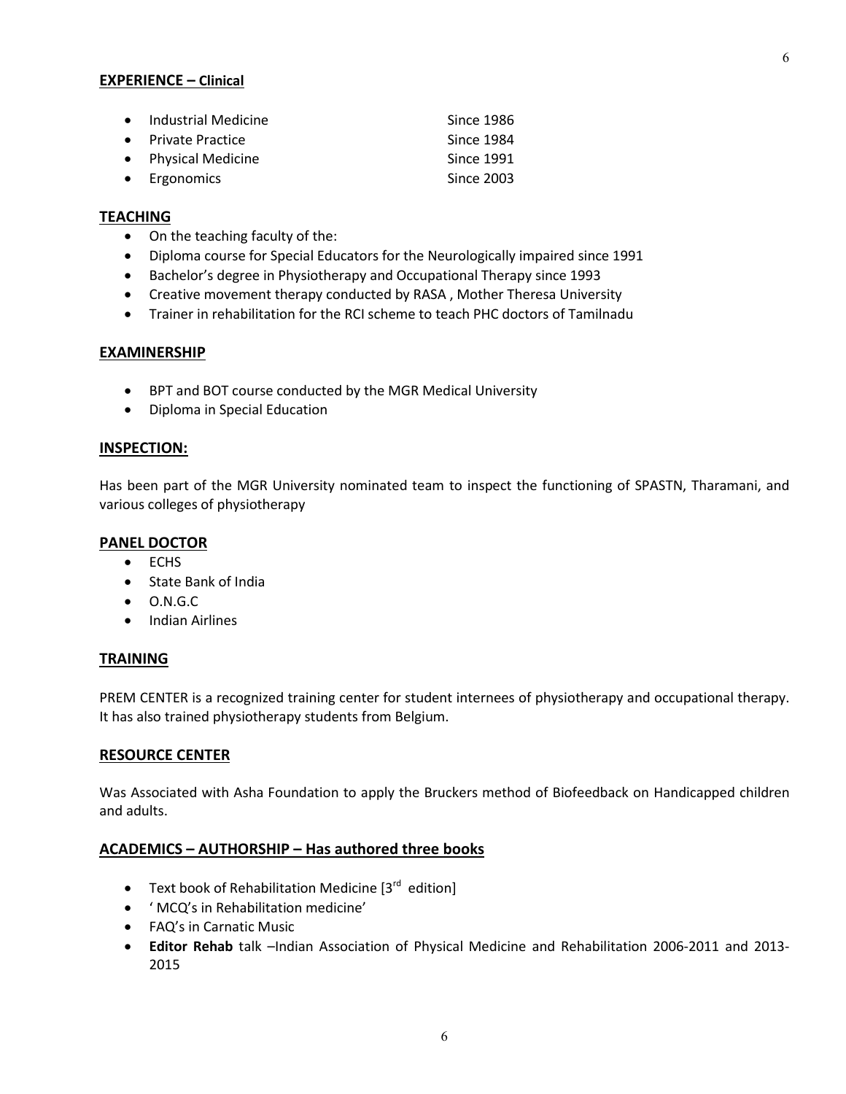#### **EXPERIENCE – Clinical**

| • Industrial Medicine | Since 1986        |
|-----------------------|-------------------|
| • Private Practice    | Since 1984        |
| • Physical Medicine   | Since 1991        |
| $\bullet$ Ergonomics  | <b>Since 2003</b> |

#### **TEACHING**

- On the teaching faculty of the:
- Diploma course for Special Educators for the Neurologically impaired since 1991
- Bachelor's degree in Physiotherapy and Occupational Therapy since 1993
- Creative movement therapy conducted by RASA , Mother Theresa University
- Trainer in rehabilitation for the RCI scheme to teach PHC doctors of Tamilnadu

#### **EXAMINERSHIP**

- BPT and BOT course conducted by the MGR Medical University
- Diploma in Special Education

#### **INSPECTION:**

Has been part of the MGR University nominated team to inspect the functioning of SPASTN, Tharamani, and various colleges of physiotherapy

#### **PANEL DOCTOR**

- ECHS
- State Bank of India
- O.N.G.C
- Indian Airlines

#### **TRAINING**

PREM CENTER is a recognized training center for student internees of physiotherapy and occupational therapy. It has also trained physiotherapy students from Belgium.

#### **RESOURCE CENTER**

Was Associated with Asha Foundation to apply the Bruckers method of Biofeedback on Handicapped children and adults.

#### **ACADEMICS – AUTHORSHIP – Has authored three books**

- **•** Text book of Rehabilitation Medicine  $[3^{rd}$  edition]
- ' MCQ's in Rehabilitation medicine'
- FAQ's in Carnatic Music
- **Editor Rehab** talk –Indian Association of Physical Medicine and Rehabilitation 2006-2011 and 2013- 2015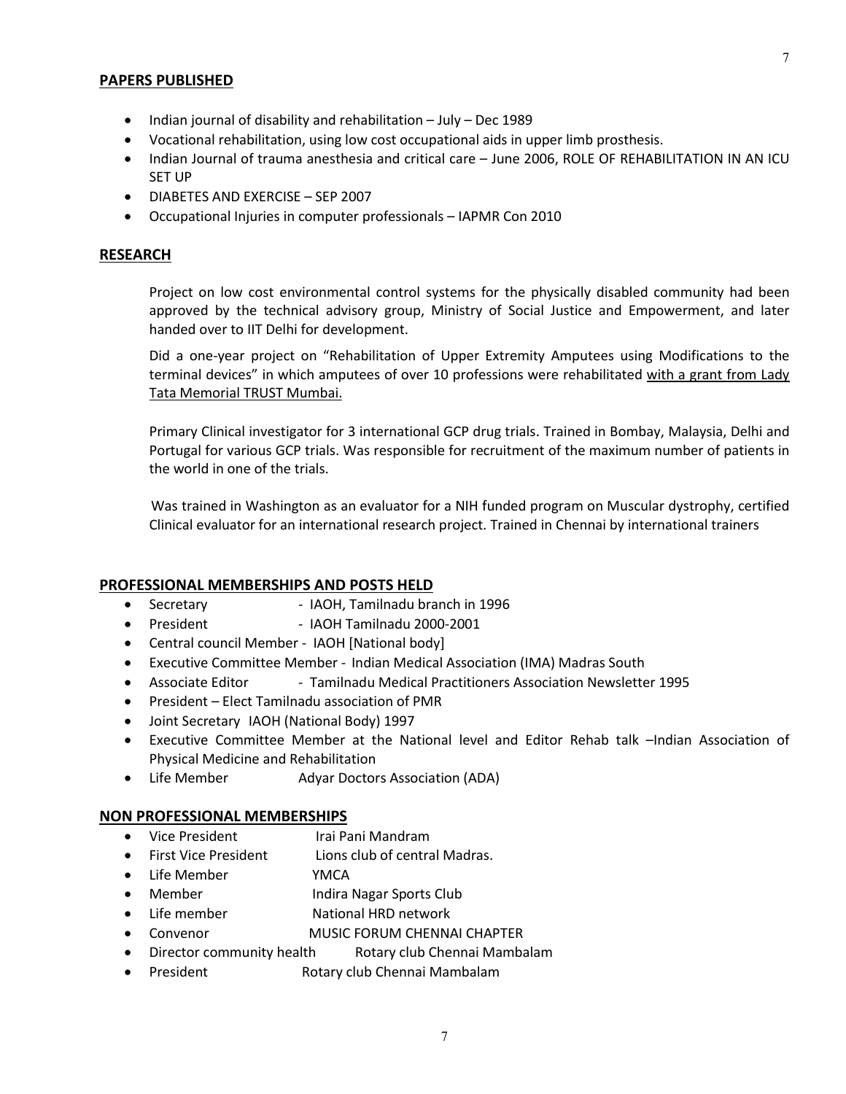#### **PAPERS PUBLISHED**

- Indian journal of disability and rehabilitation July Dec 1989
- Vocational rehabilitation, using low cost occupational aids in upper limb prosthesis.
- Indian Journal of trauma anesthesia and critical care June 2006, ROLE OF REHABILITATION IN AN ICU SET UP
- DIABETES AND EXERCISE SEP 2007
- Occupational Injuries in computer professionals IAPMR Con 2010

#### **RESEARCH**

Project on low cost environmental control systems for the physically disabled community had been approved by the technical advisory group, Ministry of Social Justice and Empowerment, and later handed over to IIT Delhi for development.

Did a one-year project on "Rehabilitation of Upper Extremity Amputees using Modifications to the terminal devices" in which amputees of over 10 professions were rehabilitated with a grant from Lady Tata Memorial TRUST Mumbai.

Primary Clinical investigator for 3 international GCP drug trials. Trained in Bombay, Malaysia, Delhi and Portugal for various GCP trials. Was responsible for recruitment of the maximum number of patients in the world in one of the trials.

 Was trained in Washington as an evaluator for a NIH funded program on Muscular dystrophy, certified Clinical evaluator for an international research project. Trained in Chennai by international trainers

#### **PROFESSIONAL MEMBERSHIPS AND POSTS HELD**

- Secretary IAOH, Tamilnadu branch in 1996
- President IAOH Tamilnadu 2000-2001
- Central council Member IAOH [National body]
- Executive Committee Member Indian Medical Association (IMA) Madras South
- Associate Editor Tamilnadu Medical Practitioners Association Newsletter 1995
- President Elect Tamilnadu association of PMR
- Joint Secretary IAOH (National Body) 1997
- Executive Committee Member at the National level and Editor Rehab talk –Indian Association of Physical Medicine and Rehabilitation
- Life Member Adyar Doctors Association (ADA)

#### **NON PROFESSIONAL MEMBERSHIPS**

- Vice President Irai Pani Mandram
- First Vice President Lions club of central Madras.
- Life Member **YMCA**
- Member Indira Nagar Sports Club
- Life member National HRD network
- Convenor MUSIC FORUM CHENNAI CHAPTER
- Director community health Rotary club Chennai Mambalam
- President **Rotary club Chennai Mambalam**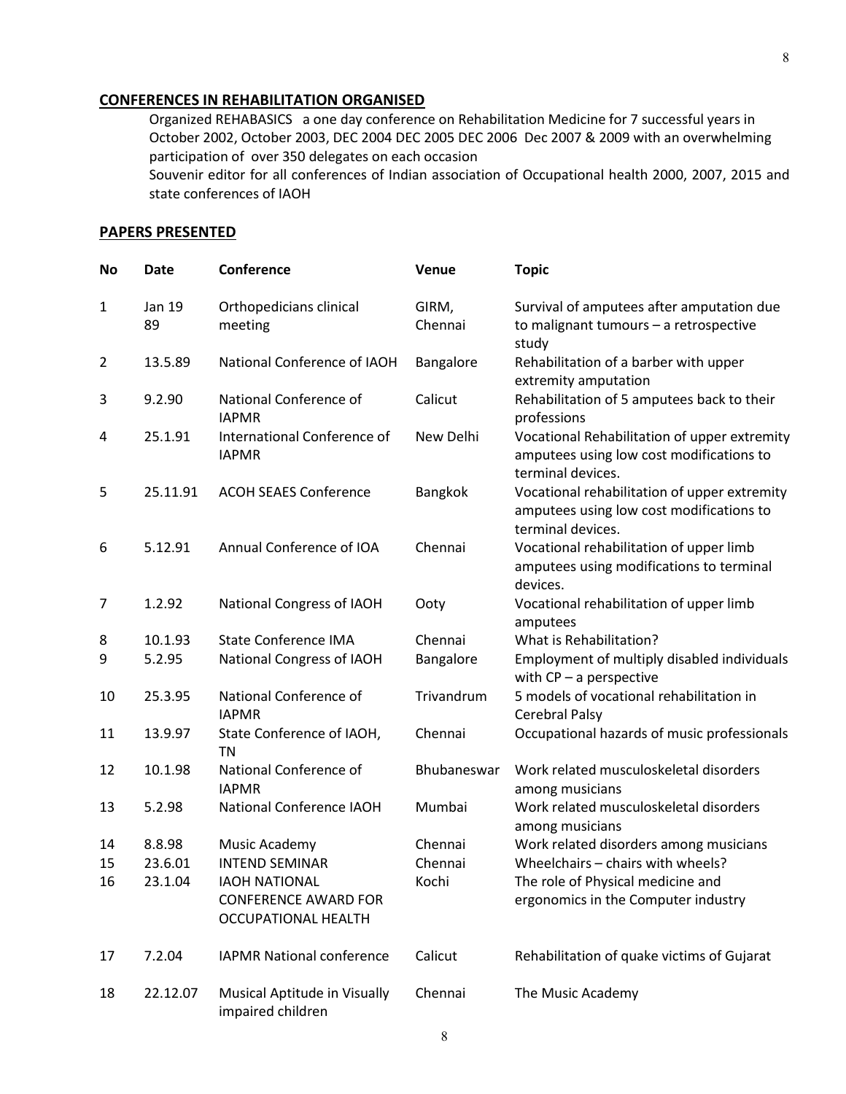#### **CONFERENCES IN REHABILITATION ORGANISED**

Organized REHABASICS a one day conference on Rehabilitation Medicine for 7 successful years in October 2002, October 2003, DEC 2004 DEC 2005 DEC 2006 Dec 2007 & 2009 with an overwhelming participation of over 350 delegates on each occasion Souvenir editor for all conferences of Indian association of Occupational health 2000, 2007, 2015 and

state conferences of IAOH

#### **PAPERS PRESENTED**

| <b>No</b>      | <b>Date</b>  | Conference                                                                 | <b>Venue</b>     | <b>Topic</b>                                                                                                  |
|----------------|--------------|----------------------------------------------------------------------------|------------------|---------------------------------------------------------------------------------------------------------------|
| $\mathbf{1}$   | Jan 19<br>89 | Orthopedicians clinical<br>meeting                                         | GIRM,<br>Chennai | Survival of amputees after amputation due<br>to malignant tumours - a retrospective<br>study                  |
| $\overline{2}$ | 13.5.89      | National Conference of IAOH                                                | Bangalore        | Rehabilitation of a barber with upper<br>extremity amputation                                                 |
| 3              | 9.2.90       | National Conference of<br><b>IAPMR</b>                                     | Calicut          | Rehabilitation of 5 amputees back to their<br>professions                                                     |
| 4              | 25.1.91      | International Conference of<br><b>IAPMR</b>                                | New Delhi        | Vocational Rehabilitation of upper extremity<br>amputees using low cost modifications to<br>terminal devices. |
| 5              | 25.11.91     | <b>ACOH SEAES Conference</b>                                               | Bangkok          | Vocational rehabilitation of upper extremity<br>amputees using low cost modifications to<br>terminal devices. |
| 6              | 5.12.91      | Annual Conference of IOA                                                   | Chennai          | Vocational rehabilitation of upper limb<br>amputees using modifications to terminal<br>devices.               |
| 7              | 1.2.92       | National Congress of IAOH                                                  | Ooty             | Vocational rehabilitation of upper limb<br>amputees                                                           |
| 8              | 10.1.93      | <b>State Conference IMA</b>                                                | Chennai          | What is Rehabilitation?                                                                                       |
| 9              | 5.2.95       | National Congress of IAOH                                                  | Bangalore        | Employment of multiply disabled individuals<br>with $CP - a$ perspective                                      |
| 10             | 25.3.95      | National Conference of<br><b>IAPMR</b>                                     | Trivandrum       | 5 models of vocational rehabilitation in<br>Cerebral Palsy                                                    |
| 11             | 13.9.97      | State Conference of IAOH,<br>ΤN                                            | Chennai          | Occupational hazards of music professionals                                                                   |
| 12             | 10.1.98      | National Conference of<br><b>IAPMR</b>                                     | Bhubaneswar      | Work related musculoskeletal disorders<br>among musicians                                                     |
| 13             | 5.2.98       | <b>National Conference IAOH</b>                                            | Mumbai           | Work related musculoskeletal disorders<br>among musicians                                                     |
| 14             | 8.8.98       | Music Academy                                                              | Chennai          | Work related disorders among musicians                                                                        |
| 15             | 23.6.01      | <b>INTEND SEMINAR</b>                                                      | Chennai          | Wheelchairs - chairs with wheels?                                                                             |
| 16             | 23.1.04      | <b>IAOH NATIONAL</b><br><b>CONFERENCE AWARD FOR</b><br>OCCUPATIONAL HEALTH | Kochi            | The role of Physical medicine and<br>ergonomics in the Computer industry                                      |
| 17             | 7.2.04       | <b>IAPMR National conference</b>                                           | Calicut          | Rehabilitation of quake victims of Gujarat                                                                    |
| 18             | 22.12.07     | Musical Aptitude in Visually<br>impaired children                          | Chennai          | The Music Academy                                                                                             |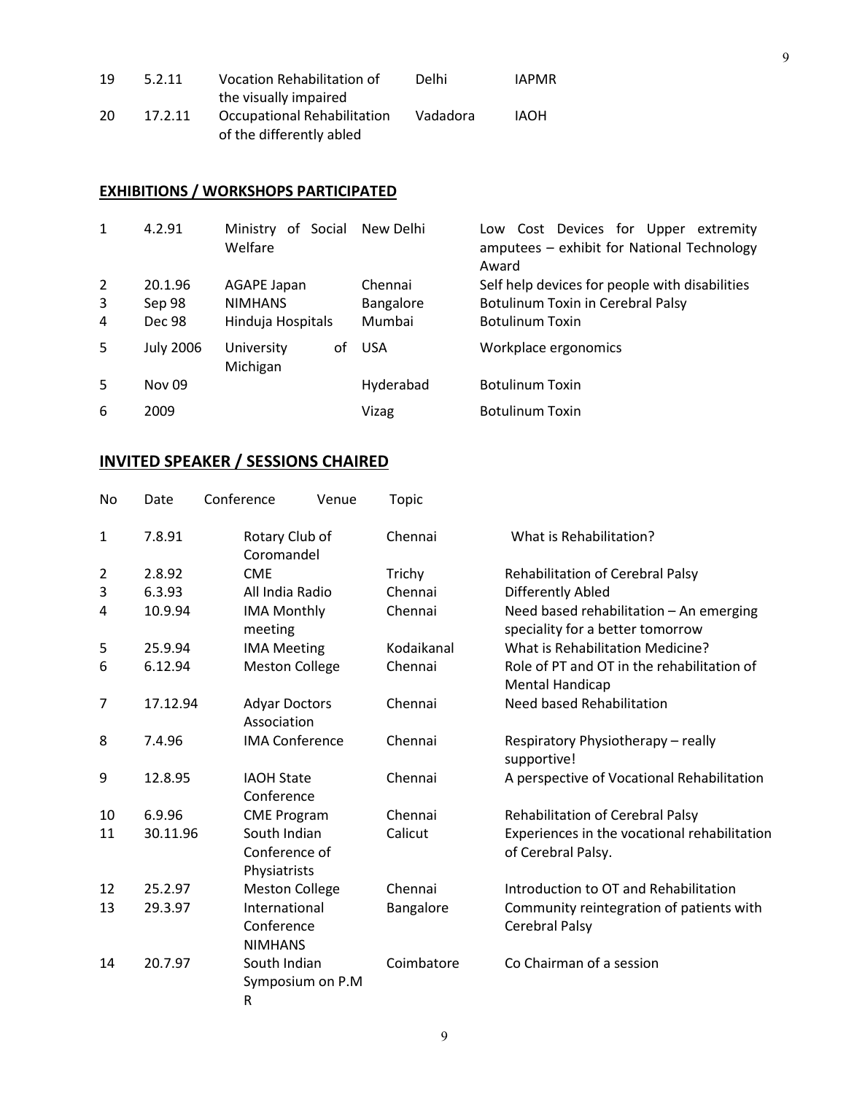| 19  | 5.2.11  | Vocation Rehabilitation of  | Delhi    | <b>IAPMR</b> |
|-----|---------|-----------------------------|----------|--------------|
|     |         | the visually impaired       |          |              |
| -20 | 17.2.11 | Occupational Rehabilitation | Vadadora | IAOH         |
|     |         | of the differently abled    |          |              |

# **EXHIBITIONS / WORKSHOPS PARTICIPATED**

| 1 | 4.2.91           | of Social<br>Ministry<br>Welfare |    | New Delhi  | Cost Devices for Upper extremity<br>Low<br>amputees - exhibit for National Technology<br>Award |
|---|------------------|----------------------------------|----|------------|------------------------------------------------------------------------------------------------|
| 2 | 20.1.96          | <b>AGAPE Japan</b>               |    | Chennai    | Self help devices for people with disabilities                                                 |
| 3 | Sep 98           | <b>NIMHANS</b>                   |    | Bangalore  | Botulinum Toxin in Cerebral Palsy                                                              |
| 4 | Dec 98           | Hinduja Hospitals                |    | Mumbai     | <b>Botulinum Toxin</b>                                                                         |
| 5 | <b>July 2006</b> | University<br>Michigan           | οf | <b>USA</b> | Workplace ergonomics                                                                           |
| 5 | <b>Nov 09</b>    |                                  |    | Hyderabad  | <b>Botulinum Toxin</b>                                                                         |
| 6 | 2009             |                                  |    | Vizag      | <b>Botulinum Toxin</b>                                                                         |

## **INVITED SPEAKER / SESSIONS CHAIRED**

| No             | Date     | Conference<br>Venue                           | Topic      |                                                                             |
|----------------|----------|-----------------------------------------------|------------|-----------------------------------------------------------------------------|
| $\mathbf{1}$   | 7.8.91   | Rotary Club of<br>Coromandel                  | Chennai    | What is Rehabilitation?                                                     |
| $\overline{2}$ | 2.8.92   | <b>CME</b>                                    | Trichy     | <b>Rehabilitation of Cerebral Palsy</b>                                     |
| 3              | 6.3.93   | All India Radio                               | Chennai    | Differently Abled                                                           |
| 4              | 10.9.94  | <b>IMA Monthly</b><br>meeting                 | Chennai    | Need based rehabilitation - An emerging<br>speciality for a better tomorrow |
| 5              | 25.9.94  | <b>IMA Meeting</b>                            | Kodaikanal | What is Rehabilitation Medicine?                                            |
| 6              | 6.12.94  | <b>Meston College</b>                         | Chennai    | Role of PT and OT in the rehabilitation of<br>Mental Handicap               |
| 7              | 17.12.94 | <b>Adyar Doctors</b><br>Association           | Chennai    | Need based Rehabilitation                                                   |
| 8              | 7.4.96   | <b>IMA Conference</b>                         | Chennai    | Respiratory Physiotherapy - really<br>supportive!                           |
| 9              | 12.8.95  | <b>IAOH State</b><br>Conference               | Chennai    | A perspective of Vocational Rehabilitation                                  |
| 10             | 6.9.96   | <b>CME Program</b>                            | Chennai    | Rehabilitation of Cerebral Palsy                                            |
| 11             | 30.11.96 | South Indian<br>Conference of<br>Physiatrists | Calicut    | Experiences in the vocational rehabilitation<br>of Cerebral Palsy.          |
| 12             | 25.2.97  | <b>Meston College</b>                         | Chennai    | Introduction to OT and Rehabilitation                                       |
| 13             | 29.3.97  | International<br>Conference<br><b>NIMHANS</b> | Bangalore  | Community reintegration of patients with<br>Cerebral Palsy                  |
| 14             | 20.7.97  | South Indian<br>Symposium on P.M<br>R         | Coimbatore | Co Chairman of a session                                                    |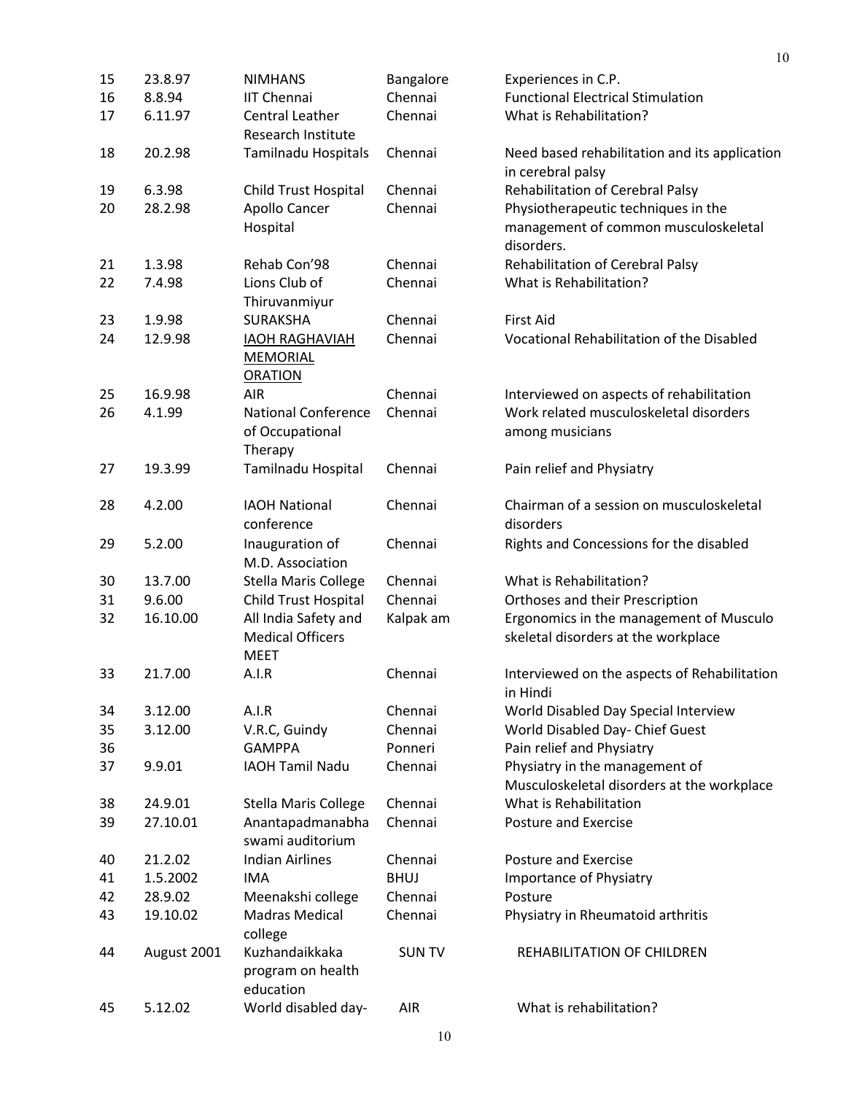| 15 | 23.8.97     | <b>NIMHANS</b>                                             | Bangalore     | Experiences in C.P.                                                |
|----|-------------|------------------------------------------------------------|---------------|--------------------------------------------------------------------|
| 16 | 8.8.94      | <b>IIT Chennai</b>                                         | Chennai       | <b>Functional Electrical Stimulation</b>                           |
| 17 | 6.11.97     | Central Leather<br><b>Research Institute</b>               | Chennai       | What is Rehabilitation?                                            |
| 18 | 20.2.98     | Tamilnadu Hospitals                                        | Chennai       | Need based rehabilitation and its application<br>in cerebral palsy |
| 19 | 6.3.98      | Child Trust Hospital                                       | Chennai       | Rehabilitation of Cerebral Palsy                                   |
| 20 | 28.2.98     | Apollo Cancer                                              | Chennai       | Physiotherapeutic techniques in the                                |
|    |             | Hospital                                                   |               | management of common musculoskeletal<br>disorders.                 |
| 21 | 1.3.98      | Rehab Con'98                                               | Chennai       | Rehabilitation of Cerebral Palsy                                   |
| 22 | 7.4.98      | Lions Club of                                              | Chennai       | What is Rehabilitation?                                            |
|    |             | Thiruvanmiyur                                              |               |                                                                    |
| 23 | 1.9.98      | <b>SURAKSHA</b>                                            | Chennai       | <b>First Aid</b>                                                   |
| 24 | 12.9.98     | <b>IAOH RAGHAVIAH</b><br><b>MEMORIAL</b><br><b>ORATION</b> | Chennai       | Vocational Rehabilitation of the Disabled                          |
| 25 | 16.9.98     | <b>AIR</b>                                                 | Chennai       | Interviewed on aspects of rehabilitation                           |
| 26 | 4.1.99      | <b>National Conference</b><br>of Occupational<br>Therapy   | Chennai       | Work related musculoskeletal disorders<br>among musicians          |
| 27 | 19.3.99     | Tamilnadu Hospital                                         | Chennai       | Pain relief and Physiatry                                          |
| 28 | 4.2.00      | <b>IAOH National</b><br>conference                         | Chennai       | Chairman of a session on musculoskeletal<br>disorders              |
| 29 | 5.2.00      | Inauguration of<br>M.D. Association                        | Chennai       | Rights and Concessions for the disabled                            |
| 30 | 13.7.00     | Stella Maris College                                       | Chennai       | What is Rehabilitation?                                            |
| 31 | 9.6.00      | Child Trust Hospital                                       | Chennai       | Orthoses and their Prescription                                    |
| 32 | 16.10.00    | All India Safety and                                       | Kalpak am     | Ergonomics in the management of Musculo                            |
|    |             | <b>Medical Officers</b><br><b>MEET</b>                     |               | skeletal disorders at the workplace                                |
| 33 | 21.7.00     | A.I.R                                                      | Chennai       | Interviewed on the aspects of Rehabilitation<br>in Hindi           |
| 34 | 3.12.00     | A.I.R                                                      | Chennai       | World Disabled Day Special Interview                               |
| 35 | 3.12.00     | V.R.C, Guindy                                              | Chennai       | World Disabled Day- Chief Guest                                    |
| 36 |             | <b>GAMPPA</b>                                              | Ponneri       | Pain relief and Physiatry                                          |
| 37 | 9.9.01      | <b>IAOH Tamil Nadu</b>                                     | Chennai       | Physiatry in the management of                                     |
|    |             |                                                            |               | Musculoskeletal disorders at the workplace                         |
| 38 | 24.9.01     | <b>Stella Maris College</b>                                | Chennai       | What is Rehabilitation                                             |
| 39 | 27.10.01    | Anantapadmanabha                                           | Chennai       | <b>Posture and Exercise</b>                                        |
|    |             | swami auditorium                                           |               |                                                                    |
| 40 | 21.2.02     | <b>Indian Airlines</b>                                     | Chennai       | <b>Posture and Exercise</b>                                        |
| 41 | 1.5.2002    | <b>IMA</b>                                                 | <b>BHUJ</b>   | Importance of Physiatry                                            |
| 42 | 28.9.02     | Meenakshi college                                          | Chennai       | Posture                                                            |
| 43 | 19.10.02    | <b>Madras Medical</b><br>college                           | Chennai       | Physiatry in Rheumatoid arthritis                                  |
| 44 | August 2001 | Kuzhandaikkaka<br>program on health<br>education           | <b>SUN TV</b> | REHABILITATION OF CHILDREN                                         |
| 45 | 5.12.02     | World disabled day-                                        | <b>AIR</b>    | What is rehabilitation?                                            |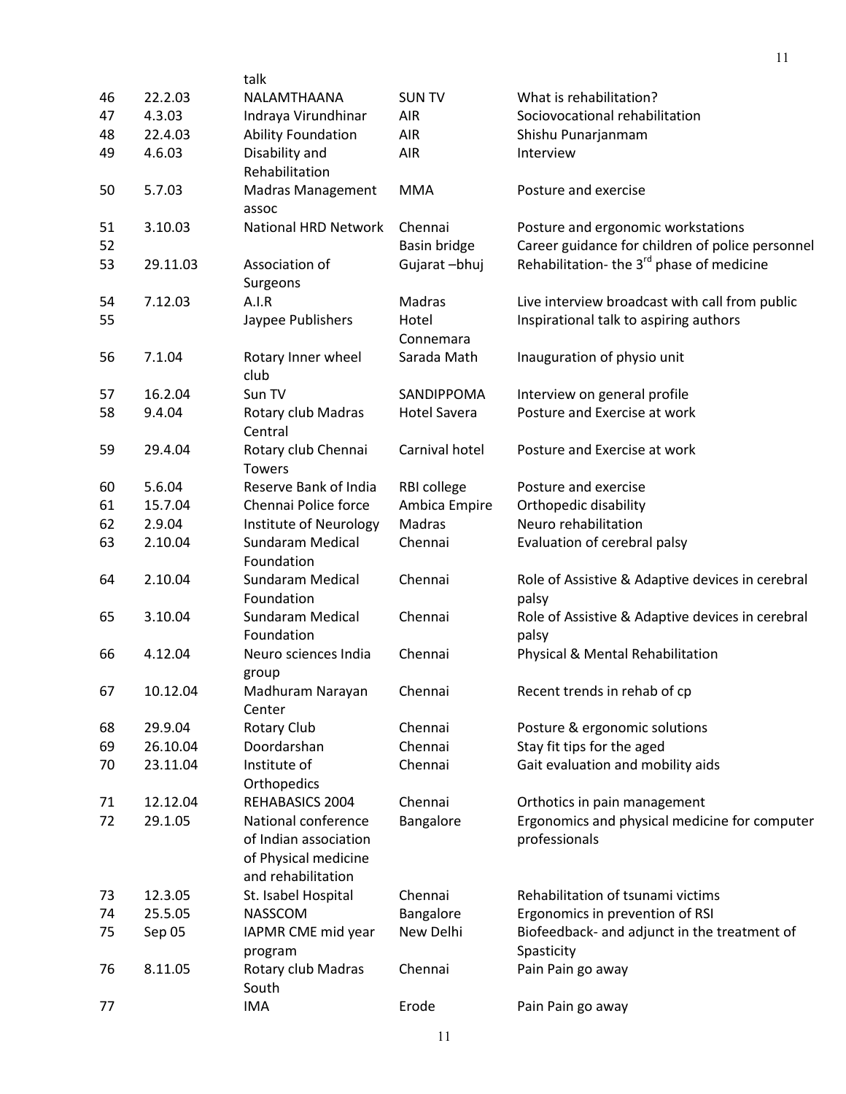|    |          | talk                        |                     |                                                       |
|----|----------|-----------------------------|---------------------|-------------------------------------------------------|
| 46 | 22.2.03  | NALAMTHAANA                 | <b>SUN TV</b>       | What is rehabilitation?                               |
| 47 | 4.3.03   | Indraya Virundhinar         | <b>AIR</b>          | Sociovocational rehabilitation                        |
| 48 | 22.4.03  | <b>Ability Foundation</b>   | <b>AIR</b>          | Shishu Punarjanmam                                    |
| 49 | 4.6.03   | Disability and              | AIR                 | Interview                                             |
|    |          | Rehabilitation              |                     |                                                       |
| 50 | 5.7.03   | <b>Madras Management</b>    | <b>MMA</b>          | Posture and exercise                                  |
|    |          | assoc                       |                     |                                                       |
| 51 | 3.10.03  | <b>National HRD Network</b> | Chennai             | Posture and ergonomic workstations                    |
| 52 |          |                             | Basin bridge        | Career guidance for children of police personnel      |
| 53 | 29.11.03 | Association of              | Gujarat-bhuj        | Rehabilitation- the 3 <sup>rd</sup> phase of medicine |
|    |          | Surgeons                    |                     |                                                       |
| 54 | 7.12.03  | A.I.R                       | Madras              | Live interview broadcast with call from public        |
| 55 |          | Jaypee Publishers           | Hotel               | Inspirational talk to aspiring authors                |
|    |          |                             | Connemara           |                                                       |
| 56 | 7.1.04   | Rotary Inner wheel          | Sarada Math         | Inauguration of physio unit                           |
|    |          | club                        |                     |                                                       |
| 57 | 16.2.04  | Sun TV                      | SANDIPPOMA          | Interview on general profile                          |
| 58 | 9.4.04   | Rotary club Madras          | <b>Hotel Savera</b> | Posture and Exercise at work                          |
|    |          | Central                     |                     |                                                       |
| 59 | 29.4.04  | Rotary club Chennai         | Carnival hotel      | Posture and Exercise at work                          |
|    |          | <b>Towers</b>               |                     |                                                       |
| 60 | 5.6.04   | Reserve Bank of India       | RBI college         | Posture and exercise                                  |
| 61 | 15.7.04  | Chennai Police force        | Ambica Empire       | Orthopedic disability                                 |
| 62 | 2.9.04   | Institute of Neurology      | Madras              | Neuro rehabilitation                                  |
| 63 | 2.10.04  | Sundaram Medical            | Chennai             | Evaluation of cerebral palsy                          |
|    |          | Foundation                  |                     |                                                       |
| 64 | 2.10.04  | Sundaram Medical            | Chennai             | Role of Assistive & Adaptive devices in cerebral      |
|    |          | Foundation                  |                     | palsy                                                 |
| 65 | 3.10.04  | Sundaram Medical            | Chennai             | Role of Assistive & Adaptive devices in cerebral      |
|    |          | Foundation                  |                     | palsy                                                 |
| 66 | 4.12.04  | Neuro sciences India        | Chennai             | Physical & Mental Rehabilitation                      |
|    |          | group                       |                     |                                                       |
| 67 | 10.12.04 | Madhuram Narayan            | Chennai             | Recent trends in rehab of cp                          |
|    |          | Center                      |                     |                                                       |
| 68 | 29.9.04  | Rotary Club                 | Chennai             | Posture & ergonomic solutions                         |
| 69 | 26.10.04 | Doordarshan                 | Chennai             | Stay fit tips for the aged                            |
| 70 | 23.11.04 | Institute of                | Chennai             | Gait evaluation and mobility aids                     |
|    |          | Orthopedics                 |                     |                                                       |
| 71 | 12.12.04 | REHABASICS 2004             | Chennai             | Orthotics in pain management                          |
| 72 | 29.1.05  | National conference         | Bangalore           | Ergonomics and physical medicine for computer         |
|    |          | of Indian association       |                     | professionals                                         |
|    |          | of Physical medicine        |                     |                                                       |
|    |          | and rehabilitation          |                     |                                                       |
| 73 | 12.3.05  | St. Isabel Hospital         | Chennai             | Rehabilitation of tsunami victims                     |
| 74 | 25.5.05  | NASSCOM                     | Bangalore           | Ergonomics in prevention of RSI                       |
| 75 | Sep 05   | IAPMR CME mid year          | New Delhi           | Biofeedback- and adjunct in the treatment of          |
|    |          | program                     |                     | Spasticity                                            |
| 76 | 8.11.05  | Rotary club Madras          | Chennai             | Pain Pain go away                                     |
|    |          | South                       |                     |                                                       |
| 77 |          | <b>IMA</b>                  | Erode               | Pain Pain go away                                     |

11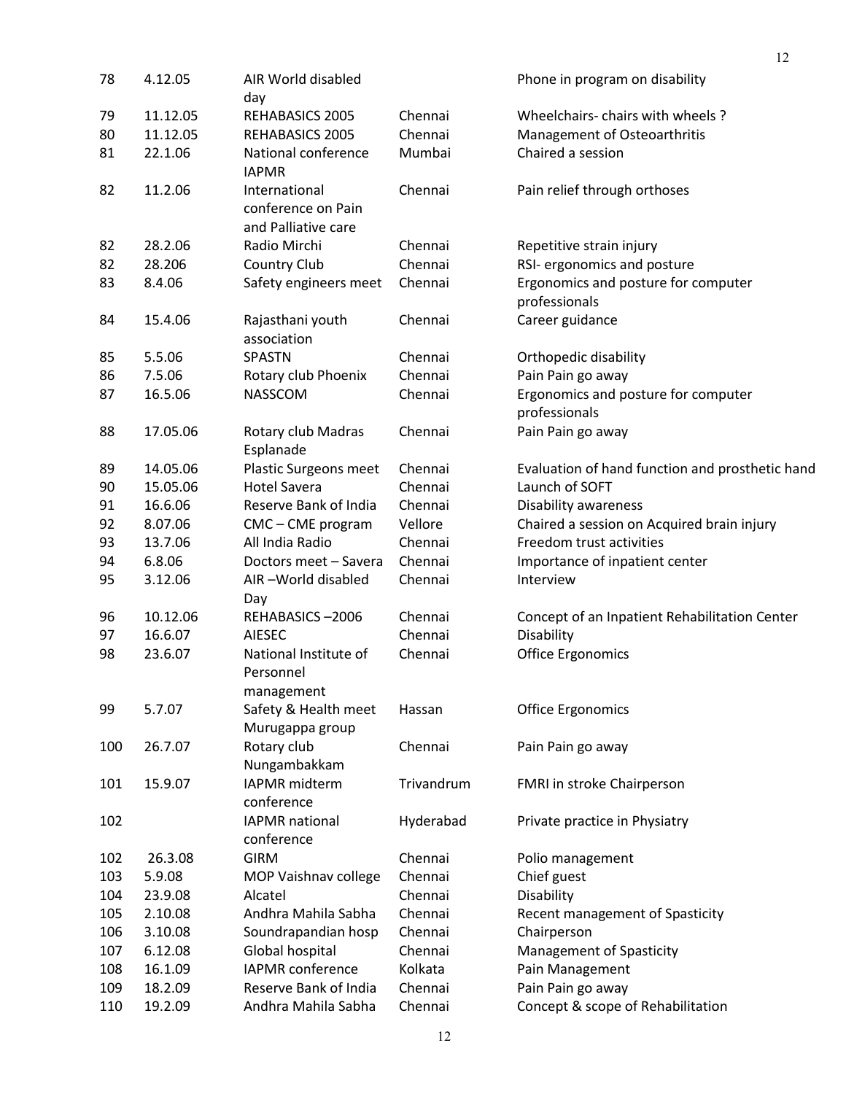| 78  | 4.12.05  | AIR World disabled<br>day                                  |            | Phone in program on disability                       |
|-----|----------|------------------------------------------------------------|------------|------------------------------------------------------|
| 79  | 11.12.05 | REHABASICS 2005                                            | Chennai    | Wheelchairs-chairs with wheels?                      |
| 80  | 11.12.05 | REHABASICS 2005                                            | Chennai    | Management of Osteoarthritis                         |
| 81  | 22.1.06  | National conference<br><b>IAPMR</b>                        | Mumbai     | Chaired a session                                    |
| 82  | 11.2.06  | International<br>conference on Pain<br>and Palliative care | Chennai    | Pain relief through orthoses                         |
| 82  | 28.2.06  | Radio Mirchi                                               | Chennai    | Repetitive strain injury                             |
| 82  | 28.206   | Country Club                                               | Chennai    | RSI- ergonomics and posture                          |
| 83  | 8.4.06   | Safety engineers meet                                      | Chennai    | Ergonomics and posture for computer<br>professionals |
| 84  | 15.4.06  | Rajasthani youth<br>association                            | Chennai    | Career guidance                                      |
| 85  | 5.5.06   | <b>SPASTN</b>                                              | Chennai    | Orthopedic disability                                |
| 86  | 7.5.06   | Rotary club Phoenix                                        | Chennai    | Pain Pain go away                                    |
| 87  | 16.5.06  | NASSCOM                                                    | Chennai    | Ergonomics and posture for computer<br>professionals |
| 88  | 17.05.06 | Rotary club Madras<br>Esplanade                            | Chennai    | Pain Pain go away                                    |
| 89  | 14.05.06 | Plastic Surgeons meet                                      | Chennai    | Evaluation of hand function and prosthetic hand      |
| 90  | 15.05.06 | <b>Hotel Savera</b>                                        | Chennai    | Launch of SOFT                                       |
| 91  | 16.6.06  | Reserve Bank of India                                      | Chennai    | Disability awareness                                 |
| 92  | 8.07.06  | CMC - CME program                                          | Vellore    | Chaired a session on Acquired brain injury           |
| 93  | 13.7.06  | All India Radio                                            | Chennai    | Freedom trust activities                             |
| 94  | 6.8.06   | Doctors meet - Savera                                      | Chennai    | Importance of inpatient center                       |
| 95  | 3.12.06  | AIR-World disabled<br>Day                                  | Chennai    | Interview                                            |
| 96  | 10.12.06 | REHABASICS-2006                                            | Chennai    | Concept of an Inpatient Rehabilitation Center        |
| 97  | 16.6.07  | <b>AIESEC</b>                                              | Chennai    | Disability                                           |
| 98  | 23.6.07  | National Institute of<br>Personnel<br>management           | Chennai    | <b>Office Ergonomics</b>                             |
| 99  | 5.7.07   | Safety & Health meet<br>Murugappa group                    | Hassan     | <b>Office Ergonomics</b>                             |
| 100 | 26.7.07  | Rotary club<br>Nungambakkam                                | Chennai    | Pain Pain go away                                    |
| 101 | 15.9.07  | IAPMR midterm<br>conference                                | Trivandrum | FMRI in stroke Chairperson                           |
| 102 |          | <b>IAPMR</b> national<br>conference                        | Hyderabad  | Private practice in Physiatry                        |
| 102 | 26.3.08  | <b>GIRM</b>                                                | Chennai    | Polio management                                     |
| 103 | 5.9.08   | MOP Vaishnav college                                       | Chennai    | Chief guest                                          |
| 104 | 23.9.08  | Alcatel                                                    | Chennai    | Disability                                           |
| 105 | 2.10.08  | Andhra Mahila Sabha                                        | Chennai    | Recent management of Spasticity                      |
| 106 | 3.10.08  | Soundrapandian hosp                                        | Chennai    | Chairperson                                          |
| 107 | 6.12.08  | Global hospital                                            | Chennai    | Management of Spasticity                             |
| 108 | 16.1.09  | <b>IAPMR</b> conference                                    | Kolkata    | Pain Management                                      |
| 109 | 18.2.09  | Reserve Bank of India                                      | Chennai    | Pain Pain go away                                    |
| 110 | 19.2.09  | Andhra Mahila Sabha                                        | Chennai    | Concept & scope of Rehabilitation                    |
|     |          |                                                            |            |                                                      |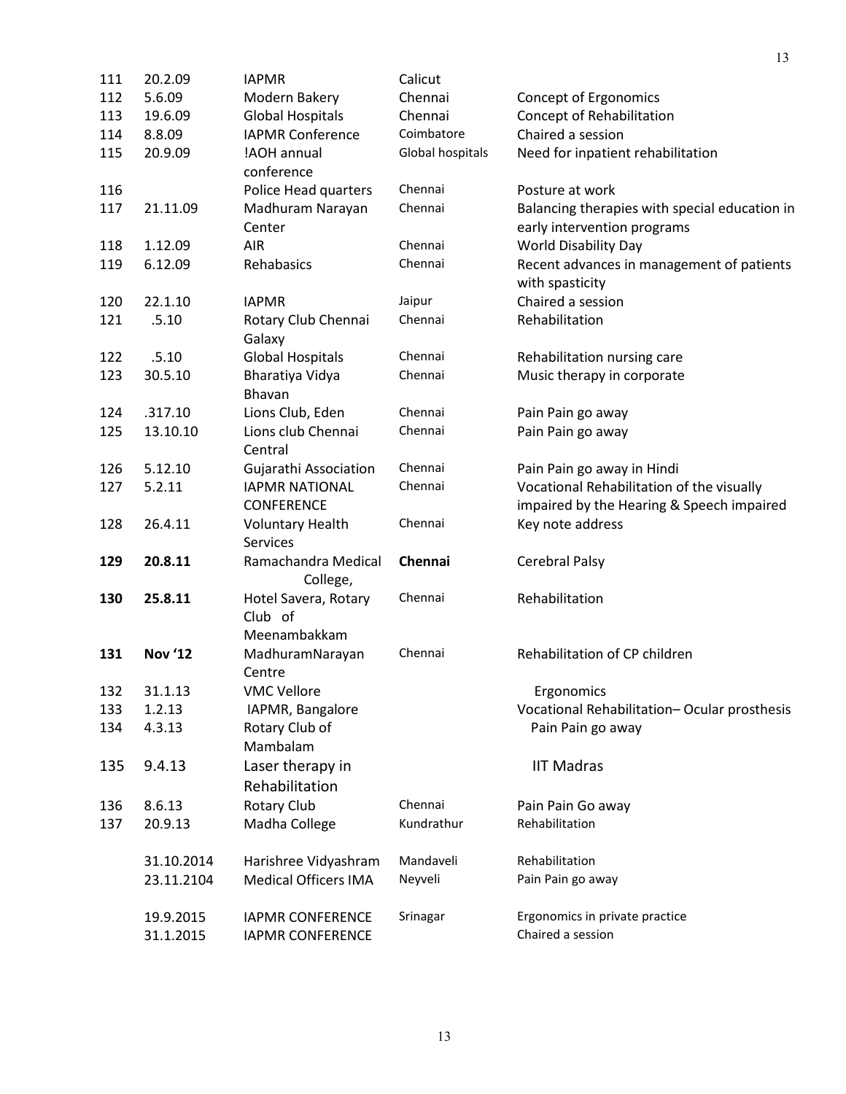| 111        | 20.2.09        | <b>IAPMR</b>                    | Calicut          |                                                              |
|------------|----------------|---------------------------------|------------------|--------------------------------------------------------------|
| 112        | 5.6.09         | Modern Bakery                   | Chennai          | Concept of Ergonomics                                        |
| 113        | 19.6.09        | <b>Global Hospitals</b>         | Chennai          | Concept of Rehabilitation                                    |
| 114        | 8.8.09         | <b>IAPMR Conference</b>         | Coimbatore       | Chaired a session                                            |
| 115        | 20.9.09        | !AOH annual<br>conference       | Global hospitals | Need for inpatient rehabilitation                            |
|            |                |                                 | Chennai          | Posture at work                                              |
| 116<br>117 | 21.11.09       | Police Head quarters            | Chennai          |                                                              |
|            |                | Madhuram Narayan                |                  | Balancing therapies with special education in                |
|            |                | Center                          | Chennai          | early intervention programs                                  |
| 118        | 1.12.09        | <b>AIR</b>                      | Chennai          | <b>World Disability Day</b>                                  |
| 119        | 6.12.09        | Rehabasics                      |                  | Recent advances in management of patients<br>with spasticity |
| 120        | 22.1.10        | <b>IAPMR</b>                    | Jaipur           | Chaired a session                                            |
| 121        | .5.10          | Rotary Club Chennai<br>Galaxy   | Chennai          | Rehabilitation                                               |
| 122        | .5.10          | <b>Global Hospitals</b>         | Chennai          | Rehabilitation nursing care                                  |
| 123        | 30.5.10        | Bharatiya Vidya<br>Bhavan       | Chennai          | Music therapy in corporate                                   |
| 124        | .317.10        | Lions Club, Eden                | Chennai          | Pain Pain go away                                            |
| 125        | 13.10.10       | Lions club Chennai              | Chennai          | Pain Pain go away                                            |
|            |                | Central                         |                  |                                                              |
| 126        | 5.12.10        | Gujarathi Association           | Chennai          | Pain Pain go away in Hindi                                   |
| 127        | 5.2.11         | <b>IAPMR NATIONAL</b>           | Chennai          | Vocational Rehabilitation of the visually                    |
|            |                | <b>CONFERENCE</b>               |                  | impaired by the Hearing & Speech impaired                    |
| 128        | 26.4.11        | <b>Voluntary Health</b>         | Chennai          | Key note address                                             |
|            |                | <b>Services</b>                 |                  |                                                              |
| 129        | 20.8.11        | Ramachandra Medical<br>College, | Chennai          | <b>Cerebral Palsy</b>                                        |
| 130        | 25.8.11        | Hotel Savera, Rotary            | Chennai          | Rehabilitation                                               |
|            |                | Club of                         |                  |                                                              |
|            |                | Meenambakkam                    |                  |                                                              |
| 131        | <b>Nov '12</b> | MadhuramNarayan                 | Chennai          | Rehabilitation of CP children                                |
|            |                | Centre                          |                  |                                                              |
| 132        | 31.1.13        | <b>VMC Vellore</b>              |                  | Ergonomics                                                   |
| 133        | 1.2.13         | IAPMR, Bangalore                |                  | Vocational Rehabilitation-Ocular prosthesis                  |
| 134        | 4.3.13         | Rotary Club of                  |                  | Pain Pain go away                                            |
|            |                | Mambalam                        |                  |                                                              |
| 135        | 9.4.13         | Laser therapy in                |                  | <b>IIT Madras</b>                                            |
|            |                | Rehabilitation                  |                  |                                                              |
| 136        | 8.6.13         | Rotary Club                     | Chennai          | Pain Pain Go away                                            |
| 137        | 20.9.13        | Madha College                   | Kundrathur       | Rehabilitation                                               |
|            | 31.10.2014     | Harishree Vidyashram            | Mandaveli        | Rehabilitation                                               |
|            | 23.11.2104     | <b>Medical Officers IMA</b>     | Neyveli          | Pain Pain go away                                            |
|            |                |                                 |                  |                                                              |
|            | 19.9.2015      | <b>IAPMR CONFERENCE</b>         | Srinagar         | Ergonomics in private practice                               |
|            | 31.1.2015      | <b>IAPMR CONFERENCE</b>         |                  | Chaired a session                                            |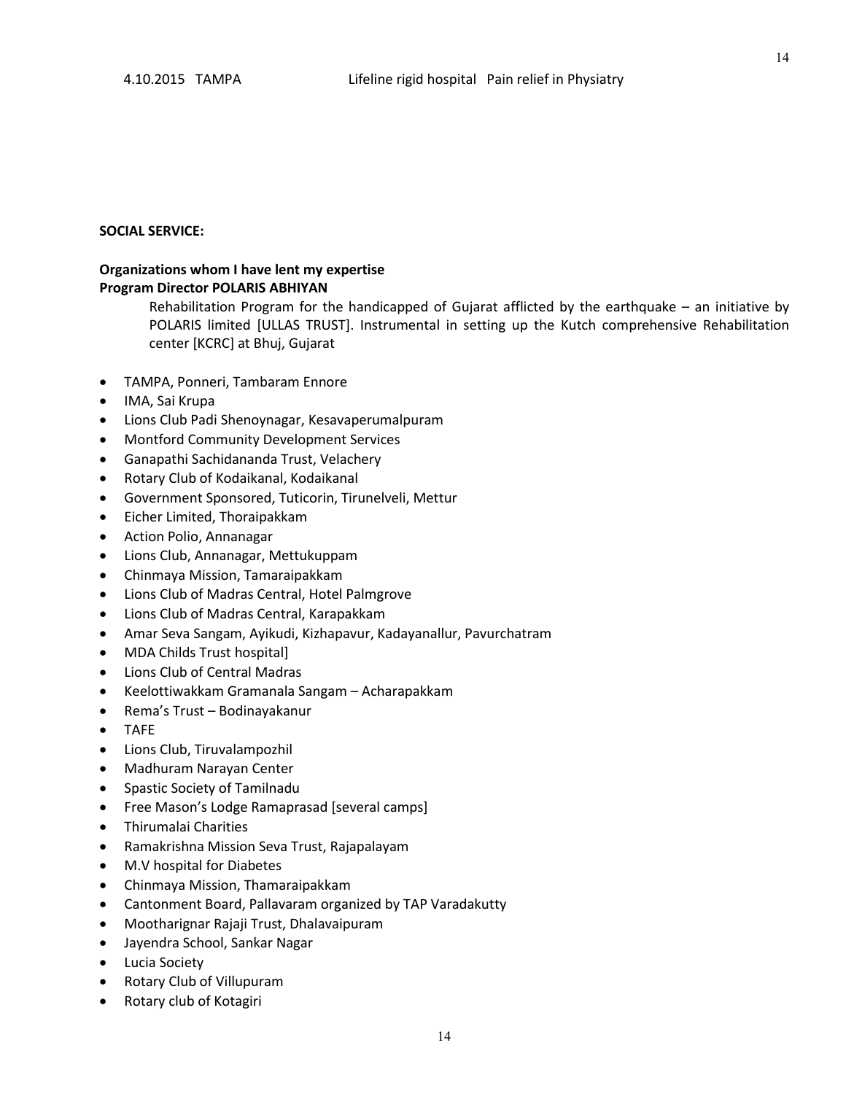14

#### **SOCIAL SERVICE:**

#### **Organizations whom I have lent my expertise Program Director POLARIS ABHIYAN**

Rehabilitation Program for the handicapped of Gujarat afflicted by the earthquake – an initiative by POLARIS limited [ULLAS TRUST]. Instrumental in setting up the Kutch comprehensive Rehabilitation center [KCRC] at Bhuj, Gujarat

- TAMPA, Ponneri, Tambaram Ennore
- IMA, Sai Krupa
- Lions Club Padi Shenoynagar, Kesavaperumalpuram
- Montford Community Development Services
- Ganapathi Sachidananda Trust, Velachery
- Rotary Club of Kodaikanal, Kodaikanal
- Government Sponsored, Tuticorin, Tirunelveli, Mettur
- Eicher Limited, Thoraipakkam
- Action Polio, Annanagar
- Lions Club, Annanagar, Mettukuppam
- Chinmaya Mission, Tamaraipakkam
- Lions Club of Madras Central, Hotel Palmgrove
- Lions Club of Madras Central, Karapakkam
- Amar Seva Sangam, Ayikudi, Kizhapavur, Kadayanallur, Pavurchatram
- MDA Childs Trust hospital]
- Lions Club of Central Madras
- Keelottiwakkam Gramanala Sangam Acharapakkam
- Rema's Trust Bodinayakanur
- TAFE
- Lions Club, Tiruvalampozhil
- Madhuram Narayan Center
- Spastic Society of Tamilnadu
- Free Mason's Lodge Ramaprasad [several camps]
- Thirumalai Charities
- Ramakrishna Mission Seva Trust, Rajapalayam
- M.V hospital for Diabetes
- Chinmaya Mission, Thamaraipakkam
- Cantonment Board, Pallavaram organized by TAP Varadakutty
- Mootharignar Rajaji Trust, Dhalavaipuram
- Jayendra School, Sankar Nagar
- Lucia Society
- Rotary Club of Villupuram
- Rotary club of Kotagiri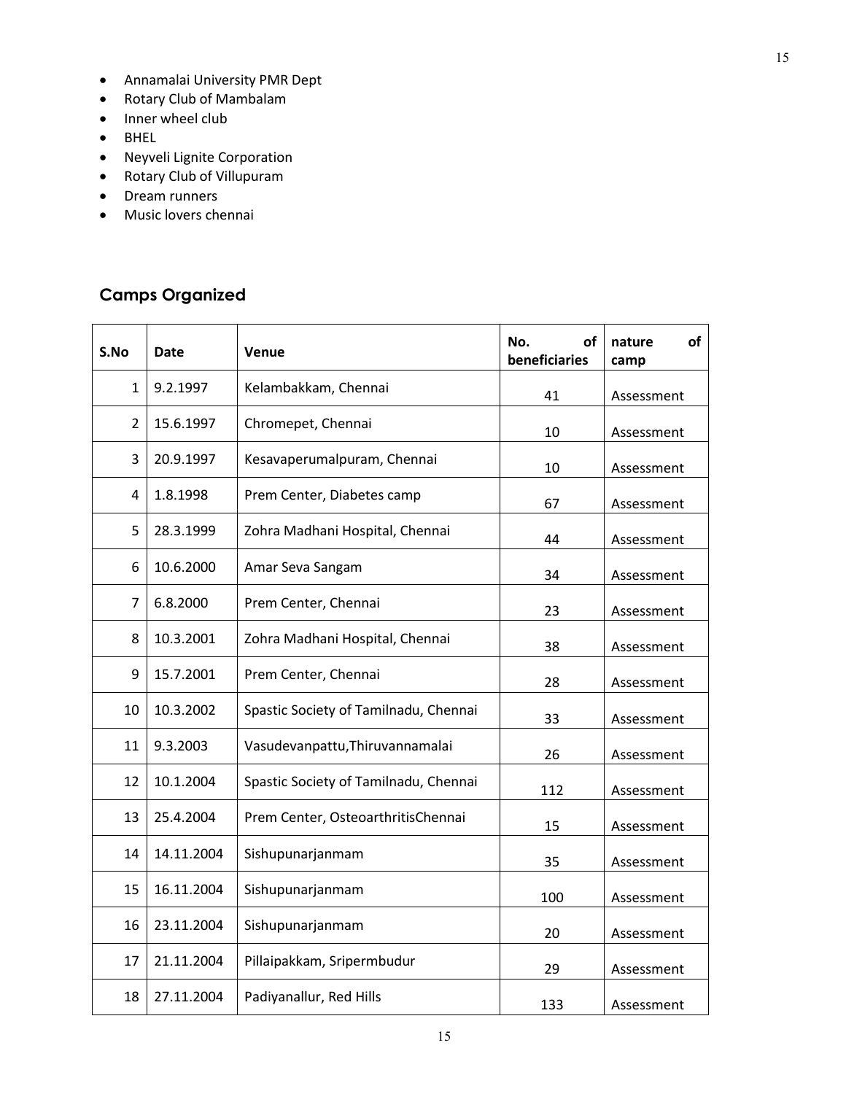- Annamalai University PMR Dept
- Rotary Club of Mambalam
- Inner wheel club
- BHEL
- Neyveli Lignite Corporation
- Rotary Club of Villupuram
- Dream runners
- Music lovers chennai

# **Camps Organized**

| S.No           | Date       | Venue                                 | No.<br>of<br>beneficiaries | of<br>nature<br>camp |  |
|----------------|------------|---------------------------------------|----------------------------|----------------------|--|
| 1              | 9.2.1997   | Kelambakkam, Chennai                  | 41                         | Assessment           |  |
| $\overline{2}$ | 15.6.1997  | Chromepet, Chennai                    | 10                         | Assessment           |  |
| 3              | 20.9.1997  | Kesavaperumalpuram, Chennai           | 10                         | Assessment           |  |
| 4              | 1.8.1998   | Prem Center, Diabetes camp            | 67                         | Assessment           |  |
| 5              | 28.3.1999  | Zohra Madhani Hospital, Chennai       | 44                         | Assessment           |  |
| 6              | 10.6.2000  | Amar Seva Sangam                      | 34                         | Assessment           |  |
| $\overline{7}$ | 6.8.2000   | Prem Center, Chennai                  | 23                         | Assessment           |  |
| 8              | 10.3.2001  | Zohra Madhani Hospital, Chennai       | 38                         | Assessment           |  |
| 9              | 15.7.2001  | Prem Center, Chennai                  | 28                         | Assessment           |  |
| 10             | 10.3.2002  | Spastic Society of Tamilnadu, Chennai | 33                         | Assessment           |  |
| 11             | 9.3.2003   | Vasudevanpattu, Thiruvannamalai       | 26                         | Assessment           |  |
| 12             | 10.1.2004  | Spastic Society of Tamilnadu, Chennai | 112                        | Assessment           |  |
| 13             | 25.4.2004  | Prem Center, OsteoarthritisChennai    | 15                         | Assessment           |  |
| 14             | 14.11.2004 | Sishupunarjanmam                      | 35                         | Assessment           |  |
| 15             | 16.11.2004 | Sishupunarjanmam                      | 100                        | Assessment           |  |
| 16             | 23.11.2004 | Sishupunarjanmam                      | 20                         | Assessment           |  |
| 17             | 21.11.2004 | Pillaipakkam, Sripermbudur            | 29                         | Assessment           |  |
| 18             | 27.11.2004 | Padiyanallur, Red Hills               | 133                        | Assessment           |  |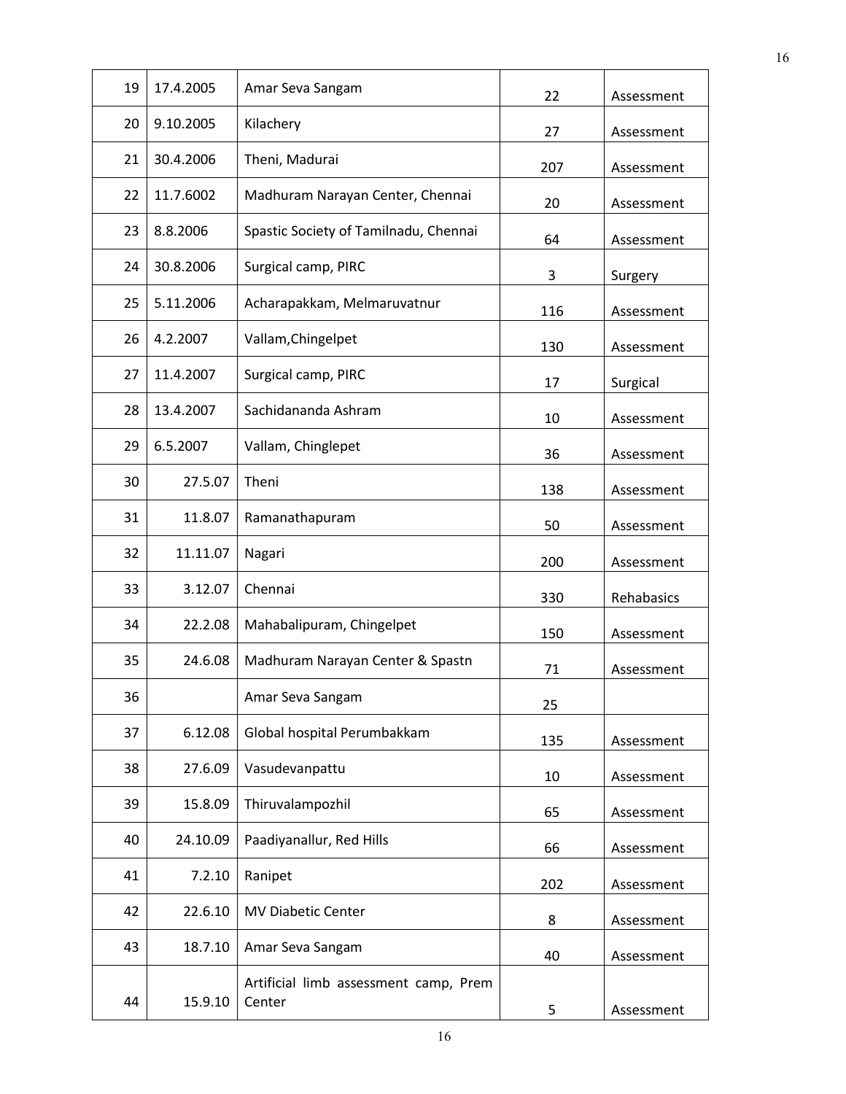| 19 | 17.4.2005 | Amar Seva Sangam                                | 22  | Assessment |
|----|-----------|-------------------------------------------------|-----|------------|
| 20 | 9.10.2005 | Kilachery                                       | 27  | Assessment |
| 21 | 30.4.2006 | Theni, Madurai                                  | 207 | Assessment |
| 22 | 11.7.6002 | Madhuram Narayan Center, Chennai                | 20  | Assessment |
| 23 | 8.8.2006  | Spastic Society of Tamilnadu, Chennai           | 64  | Assessment |
| 24 | 30.8.2006 | Surgical camp, PIRC                             | 3   | Surgery    |
| 25 | 5.11.2006 | Acharapakkam, Melmaruvatnur                     | 116 | Assessment |
| 26 | 4.2.2007  | Vallam, Chingelpet                              | 130 | Assessment |
| 27 | 11.4.2007 | Surgical camp, PIRC                             | 17  | Surgical   |
| 28 | 13.4.2007 | Sachidananda Ashram                             | 10  | Assessment |
| 29 | 6.5.2007  | Vallam, Chinglepet                              | 36  | Assessment |
| 30 | 27.5.07   | Theni                                           | 138 | Assessment |
| 31 | 11.8.07   | Ramanathapuram                                  | 50  | Assessment |
| 32 | 11.11.07  | Nagari                                          | 200 | Assessment |
| 33 | 3.12.07   | Chennai                                         | 330 | Rehabasics |
| 34 | 22.2.08   | Mahabalipuram, Chingelpet                       | 150 | Assessment |
| 35 | 24.6.08   | Madhuram Narayan Center & Spastn                | 71  | Assessment |
| 36 |           | Amar Seva Sangam                                | 25  |            |
| 37 | 6.12.08   | Global hospital Perumbakkam                     | 135 | Assessment |
| 38 | 27.6.09   | Vasudevanpattu                                  | 10  | Assessment |
| 39 | 15.8.09   | Thiruvalampozhil                                | 65  | Assessment |
| 40 | 24.10.09  | Paadiyanallur, Red Hills                        | 66  | Assessment |
| 41 | 7.2.10    | Ranipet                                         | 202 | Assessment |
| 42 | 22.6.10   | <b>MV Diabetic Center</b>                       | 8   | Assessment |
| 43 | 18.7.10   | Amar Seva Sangam                                | 40  | Assessment |
| 44 | 15.9.10   | Artificial limb assessment camp, Prem<br>Center | 5   | Assessment |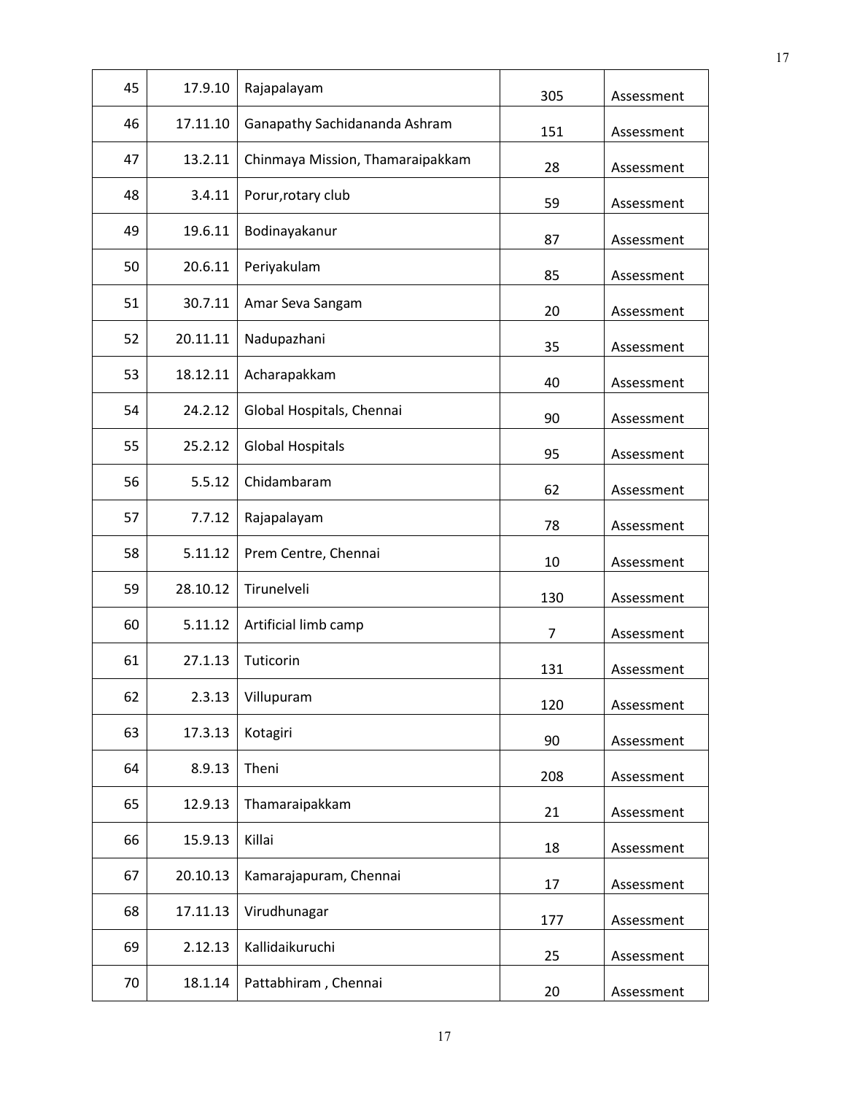| 45 | 17.9.10  | Rajapalayam                      | 305            | Assessment |
|----|----------|----------------------------------|----------------|------------|
| 46 | 17.11.10 | Ganapathy Sachidananda Ashram    | 151            | Assessment |
| 47 | 13.2.11  | Chinmaya Mission, Thamaraipakkam | 28             | Assessment |
| 48 | 3.4.11   | Porur, rotary club               | 59             | Assessment |
| 49 | 19.6.11  | Bodinayakanur                    | 87             | Assessment |
| 50 | 20.6.11  | Periyakulam                      | 85             | Assessment |
| 51 | 30.7.11  | Amar Seva Sangam                 | 20             | Assessment |
| 52 | 20.11.11 | Nadupazhani                      | 35             | Assessment |
| 53 | 18.12.11 | Acharapakkam                     | 40             | Assessment |
| 54 | 24.2.12  | Global Hospitals, Chennai        | 90             | Assessment |
| 55 | 25.2.12  | <b>Global Hospitals</b>          | 95             | Assessment |
| 56 | 5.5.12   | Chidambaram                      | 62             | Assessment |
| 57 | 7.7.12   | Rajapalayam                      | 78             | Assessment |
| 58 | 5.11.12  | Prem Centre, Chennai             | 10             | Assessment |
| 59 | 28.10.12 | Tirunelveli                      | 130            | Assessment |
| 60 | 5.11.12  | Artificial limb camp             | $\overline{7}$ | Assessment |
| 61 | 27.1.13  | Tuticorin                        | 131            | Assessment |
| 62 | 2.3.13   | Villupuram                       | 120            | Assessment |
| 63 | 17.3.13  | Kotagiri                         | 90             | Assessment |
| 64 | 8.9.13   | Theni                            | 208            | Assessment |
| 65 | 12.9.13  | Thamaraipakkam                   | 21             | Assessment |
| 66 | 15.9.13  | Killai                           | 18             | Assessment |
| 67 | 20.10.13 | Kamarajapuram, Chennai           | 17             | Assessment |
| 68 | 17.11.13 | Virudhunagar                     | 177            | Assessment |
| 69 | 2.12.13  | Kallidaikuruchi                  | 25             | Assessment |
| 70 | 18.1.14  | Pattabhiram, Chennai             | 20             | Assessment |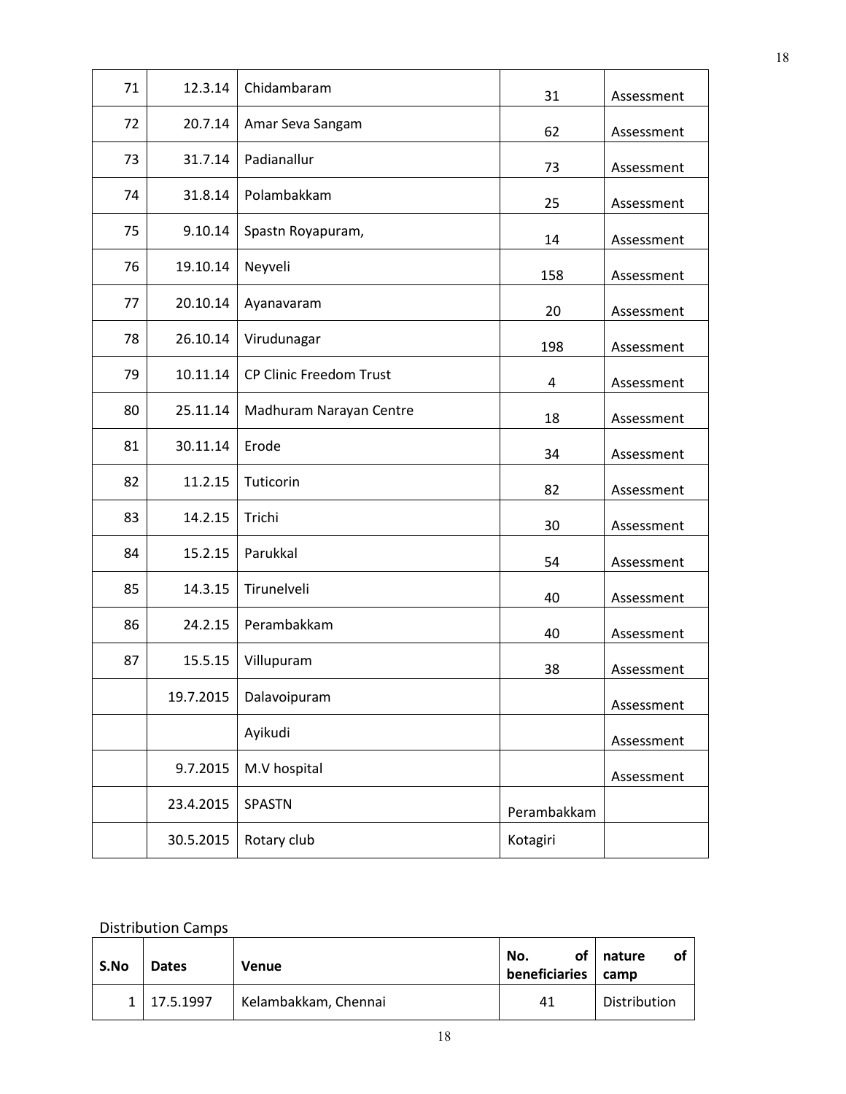| 71 | 12.3.14   | Chidambaram                    | 31          | Assessment |
|----|-----------|--------------------------------|-------------|------------|
| 72 | 20.7.14   | Amar Seva Sangam               | 62          | Assessment |
| 73 | 31.7.14   | Padianallur                    | 73          | Assessment |
| 74 | 31.8.14   | Polambakkam                    | 25          | Assessment |
| 75 | 9.10.14   | Spastn Royapuram,              | 14          | Assessment |
| 76 | 19.10.14  | Neyveli                        | 158         | Assessment |
| 77 | 20.10.14  | Ayanavaram                     | 20          | Assessment |
| 78 | 26.10.14  | Virudunagar                    | 198         | Assessment |
| 79 | 10.11.14  | <b>CP Clinic Freedom Trust</b> | 4           | Assessment |
| 80 | 25.11.14  | Madhuram Narayan Centre        | 18          | Assessment |
| 81 | 30.11.14  | Erode                          | 34          | Assessment |
| 82 | 11.2.15   | Tuticorin                      | 82          | Assessment |
| 83 | 14.2.15   | Trichi                         | 30          | Assessment |
| 84 | 15.2.15   | Parukkal                       | 54          | Assessment |
| 85 | 14.3.15   | Tirunelveli                    | 40          | Assessment |
| 86 | 24.2.15   | Perambakkam                    | 40          | Assessment |
| 87 | 15.5.15   | Villupuram                     | 38          | Assessment |
|    | 19.7.2015 | Dalavoipuram                   |             | Assessment |
|    |           | Ayikudi                        |             | Assessment |
|    | 9.7.2015  | M.V hospital                   |             | Assessment |
|    | 23.4.2015 | <b>SPASTN</b>                  | Perambakkam |            |
|    | 30.5.2015 | Rotary club                    | Kotagiri    |            |

### Distribution Camps

| S.No | <b>Dates</b>  | Venue                | οf<br>No.<br>beneficiaries | nature<br>οt<br>camp |
|------|---------------|----------------------|----------------------------|----------------------|
|      | 1   17.5.1997 | Kelambakkam, Chennai | 41                         | Distribution         |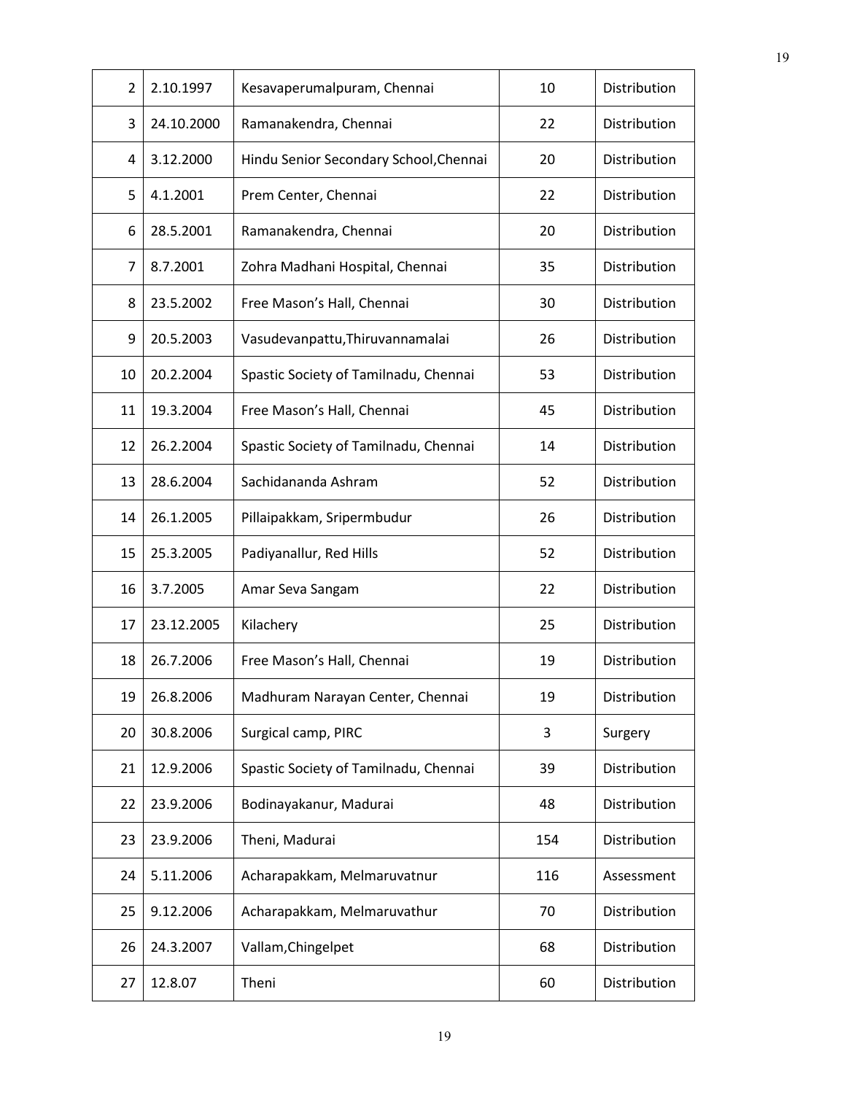| $\overline{2}$ | 2.10.1997  | Kesavaperumalpuram, Chennai            | 10  | Distribution |
|----------------|------------|----------------------------------------|-----|--------------|
| 3              | 24.10.2000 | Ramanakendra, Chennai                  | 22  | Distribution |
| 4              | 3.12.2000  | Hindu Senior Secondary School, Chennai | 20  | Distribution |
| 5              | 4.1.2001   | Prem Center, Chennai                   | 22  | Distribution |
| 6              | 28.5.2001  | Ramanakendra, Chennai                  | 20  | Distribution |
| 7              | 8.7.2001   | Zohra Madhani Hospital, Chennai        | 35  | Distribution |
| 8              | 23.5.2002  | Free Mason's Hall, Chennai             | 30  | Distribution |
| 9              | 20.5.2003  | Vasudevanpattu, Thiruvannamalai        | 26  | Distribution |
| 10             | 20.2.2004  | Spastic Society of Tamilnadu, Chennai  | 53  | Distribution |
| 11             | 19.3.2004  | Free Mason's Hall, Chennai             | 45  | Distribution |
| 12             | 26.2.2004  | Spastic Society of Tamilnadu, Chennai  | 14  | Distribution |
| 13             | 28.6.2004  | Sachidananda Ashram                    | 52  | Distribution |
| 14             | 26.1.2005  | Pillaipakkam, Sripermbudur             | 26  | Distribution |
| 15             | 25.3.2005  | Padiyanallur, Red Hills                | 52  | Distribution |
| 16             | 3.7.2005   | Amar Seva Sangam                       | 22  | Distribution |
| 17             | 23.12.2005 | Kilachery                              | 25  | Distribution |
| 18             | 26.7.2006  | Free Mason's Hall, Chennai             | 19  | Distribution |
| 19             | 26.8.2006  | Madhuram Narayan Center, Chennai       | 19  | Distribution |
| 20             | 30.8.2006  | Surgical camp, PIRC                    | 3   | Surgery      |
| 21             | 12.9.2006  | Spastic Society of Tamilnadu, Chennai  | 39  | Distribution |
| 22             | 23.9.2006  | Bodinayakanur, Madurai                 | 48  | Distribution |
| 23             | 23.9.2006  | Theni, Madurai                         | 154 | Distribution |
| 24             | 5.11.2006  | Acharapakkam, Melmaruvatnur            | 116 | Assessment   |
| 25             | 9.12.2006  | Acharapakkam, Melmaruvathur            | 70  | Distribution |
| 26             | 24.3.2007  | Vallam, Chingelpet                     | 68  | Distribution |
| 27             | 12.8.07    | Theni                                  | 60  | Distribution |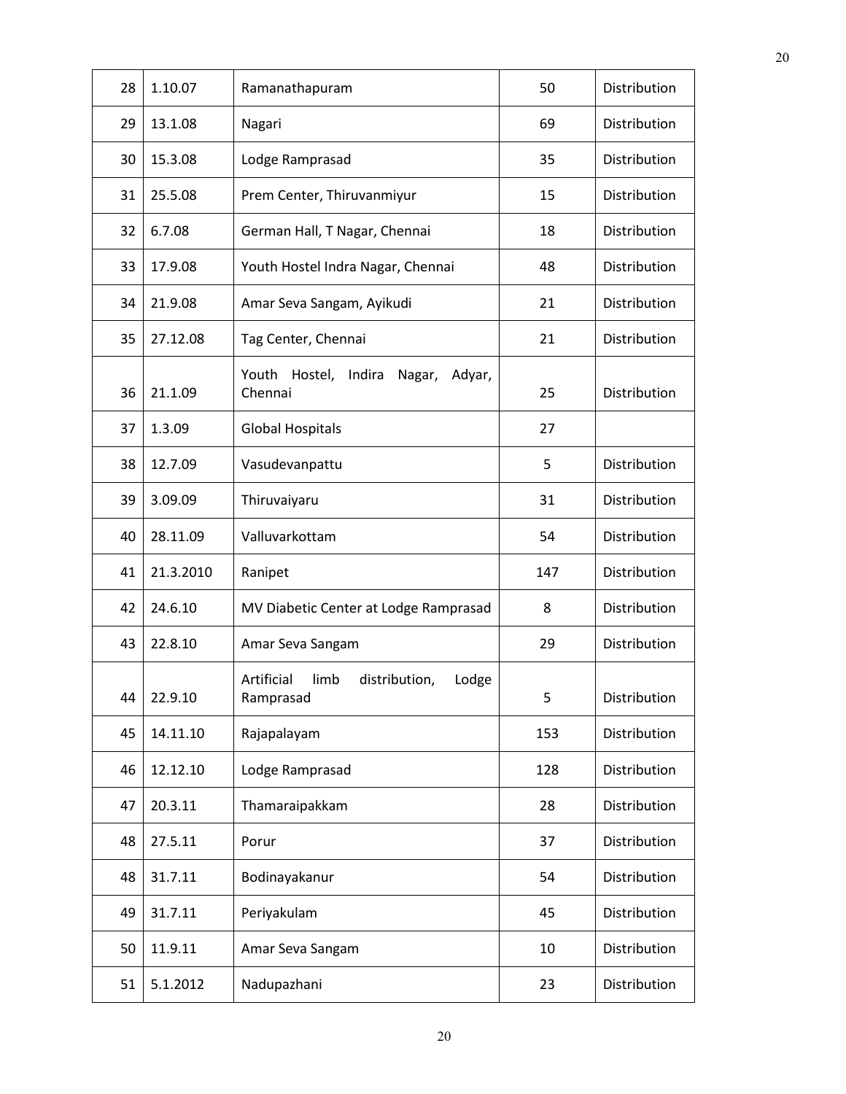| 28 | 1.10.07   | Ramanathapuram                                            | 50  | Distribution |
|----|-----------|-----------------------------------------------------------|-----|--------------|
| 29 | 13.1.08   | Nagari                                                    | 69  | Distribution |
| 30 | 15.3.08   | Lodge Ramprasad                                           | 35  | Distribution |
| 31 | 25.5.08   | Prem Center, Thiruvanmiyur                                | 15  | Distribution |
| 32 | 6.7.08    | German Hall, T Nagar, Chennai                             | 18  | Distribution |
| 33 | 17.9.08   | Youth Hostel Indra Nagar, Chennai                         | 48  | Distribution |
| 34 | 21.9.08   | Amar Seva Sangam, Ayikudi                                 | 21  | Distribution |
| 35 | 27.12.08  | Tag Center, Chennai                                       | 21  | Distribution |
| 36 | 21.1.09   | Youth<br>Hostel,<br>Indira<br>Nagar,<br>Adyar,<br>Chennai | 25  | Distribution |
| 37 | 1.3.09    | <b>Global Hospitals</b>                                   | 27  |              |
| 38 | 12.7.09   | Vasudevanpattu                                            | 5   | Distribution |
| 39 | 3.09.09   | Thiruvaiyaru                                              | 31  | Distribution |
| 40 | 28.11.09  | Valluvarkottam                                            | 54  | Distribution |
| 41 | 21.3.2010 | Ranipet                                                   | 147 | Distribution |
| 42 | 24.6.10   | MV Diabetic Center at Lodge Ramprasad                     | 8   | Distribution |
| 43 | 22.8.10   | Amar Seva Sangam                                          | 29  | Distribution |
| 44 | 22.9.10   | Artificial<br>limb<br>distribution,<br>Lodge<br>Ramprasad | 5   | Distribution |
| 45 | 14.11.10  | Rajapalayam                                               | 153 | Distribution |
| 46 | 12.12.10  | Lodge Ramprasad                                           | 128 | Distribution |
| 47 | 20.3.11   | Thamaraipakkam                                            | 28  | Distribution |
| 48 | 27.5.11   | Porur                                                     | 37  | Distribution |
| 48 | 31.7.11   | Bodinayakanur                                             | 54  | Distribution |
| 49 | 31.7.11   | Periyakulam                                               | 45  | Distribution |
| 50 | 11.9.11   | Amar Seva Sangam                                          | 10  | Distribution |
| 51 | 5.1.2012  | Nadupazhani                                               | 23  | Distribution |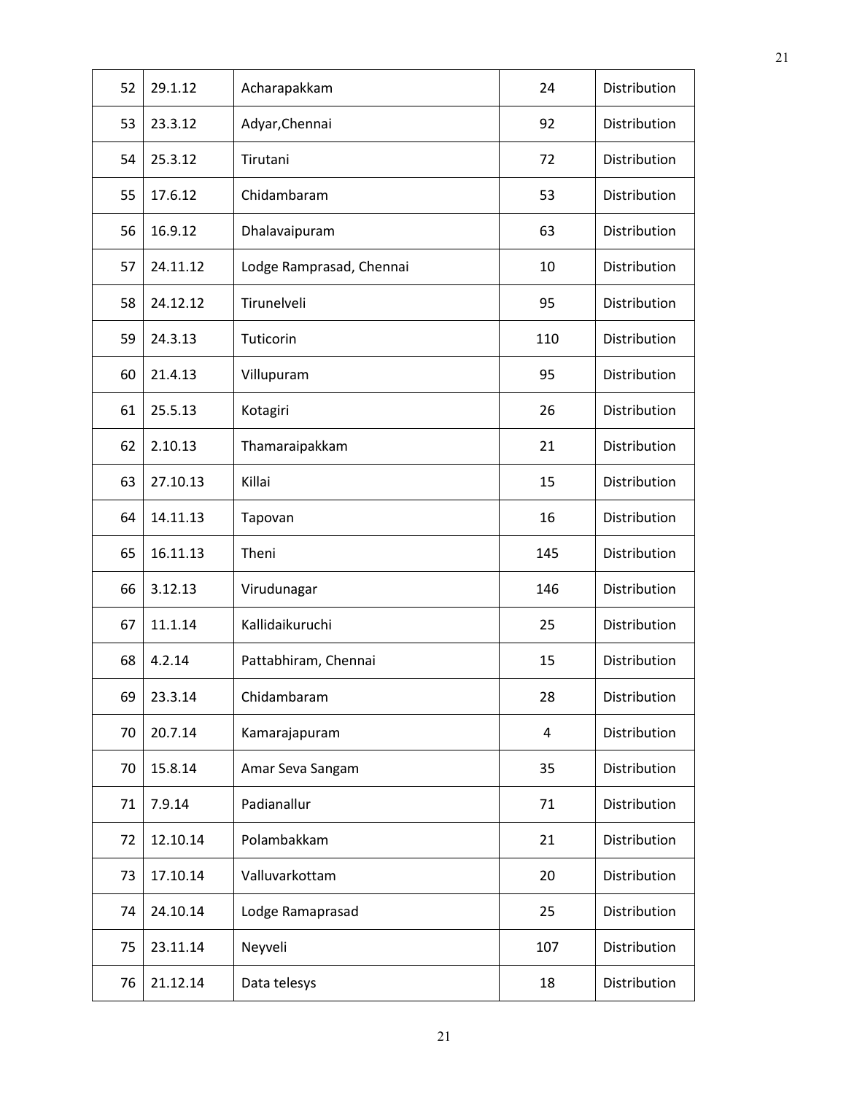| 52 | 29.1.12  | Acharapakkam             | 24  | Distribution |
|----|----------|--------------------------|-----|--------------|
| 53 | 23.3.12  | Adyar, Chennai           | 92  | Distribution |
| 54 | 25.3.12  | Tirutani                 | 72  | Distribution |
| 55 | 17.6.12  | Chidambaram              | 53  | Distribution |
| 56 | 16.9.12  | Dhalavaipuram            | 63  | Distribution |
| 57 | 24.11.12 | Lodge Ramprasad, Chennai | 10  | Distribution |
| 58 | 24.12.12 | Tirunelveli              | 95  | Distribution |
| 59 | 24.3.13  | Tuticorin                | 110 | Distribution |
| 60 | 21.4.13  | Villupuram               | 95  | Distribution |
| 61 | 25.5.13  | Kotagiri                 | 26  | Distribution |
| 62 | 2.10.13  | Thamaraipakkam           | 21  | Distribution |
| 63 | 27.10.13 | Killai                   | 15  | Distribution |
| 64 | 14.11.13 | Tapovan                  | 16  | Distribution |
| 65 | 16.11.13 | Theni                    | 145 | Distribution |
| 66 | 3.12.13  | Virudunagar              | 146 | Distribution |
| 67 | 11.1.14  | Kallidaikuruchi          | 25  | Distribution |
| 68 | 4.2.14   | Pattabhiram, Chennai     | 15  | Distribution |
| 69 | 23.3.14  | Chidambaram              | 28  | Distribution |
| 70 | 20.7.14  | Kamarajapuram            | 4   | Distribution |
| 70 | 15.8.14  | Amar Seva Sangam         | 35  | Distribution |
| 71 | 7.9.14   | Padianallur              | 71  | Distribution |
| 72 | 12.10.14 | Polambakkam              | 21  | Distribution |
| 73 | 17.10.14 | Valluvarkottam           | 20  | Distribution |
| 74 | 24.10.14 | Lodge Ramaprasad         | 25  | Distribution |
| 75 | 23.11.14 | Neyveli                  | 107 | Distribution |
| 76 | 21.12.14 | Data telesys             | 18  | Distribution |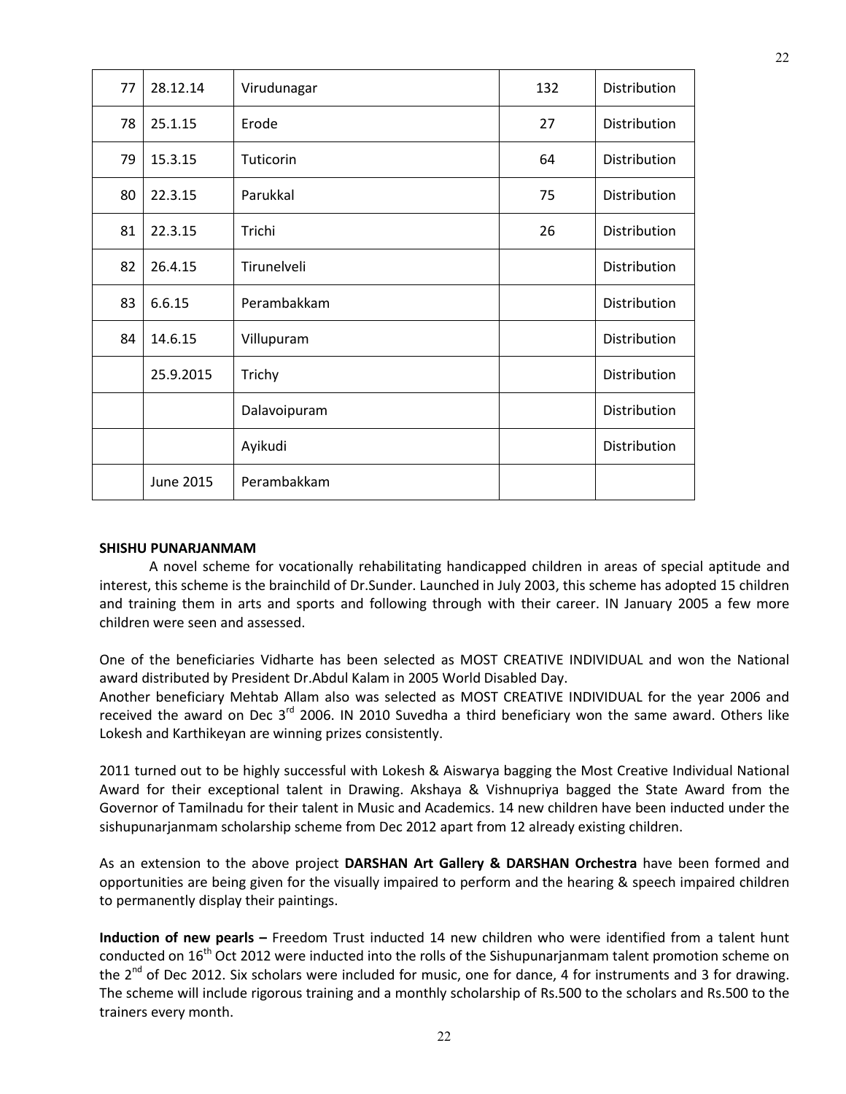| 77 | 28.12.14  | Virudunagar  | 132 | Distribution |
|----|-----------|--------------|-----|--------------|
| 78 | 25.1.15   | Erode        | 27  | Distribution |
| 79 | 15.3.15   | Tuticorin    | 64  | Distribution |
| 80 | 22.3.15   | Parukkal     | 75  | Distribution |
| 81 | 22.3.15   | Trichi       | 26  | Distribution |
| 82 | 26.4.15   | Tirunelveli  |     | Distribution |
| 83 | 6.6.15    | Perambakkam  |     | Distribution |
| 84 | 14.6.15   | Villupuram   |     | Distribution |
|    | 25.9.2015 | Trichy       |     | Distribution |
|    |           | Dalavoipuram |     | Distribution |
|    |           | Ayikudi      |     | Distribution |
|    | June 2015 | Perambakkam  |     |              |

#### **SHISHU PUNARJANMAM**

A novel scheme for vocationally rehabilitating handicapped children in areas of special aptitude and interest, this scheme is the brainchild of Dr.Sunder. Launched in July 2003, this scheme has adopted 15 children and training them in arts and sports and following through with their career. IN January 2005 a few more children were seen and assessed.

One of the beneficiaries Vidharte has been selected as MOST CREATIVE INDIVIDUAL and won the National award distributed by President Dr.Abdul Kalam in 2005 World Disabled Day.

Another beneficiary Mehtab Allam also was selected as MOST CREATIVE INDIVIDUAL for the year 2006 and received the award on Dec 3<sup>rd</sup> 2006. IN 2010 Suvedha a third beneficiary won the same award. Others like Lokesh and Karthikeyan are winning prizes consistently.

2011 turned out to be highly successful with Lokesh & Aiswarya bagging the Most Creative Individual National Award for their exceptional talent in Drawing. Akshaya & Vishnupriya bagged the State Award from the Governor of Tamilnadu for their talent in Music and Academics. 14 new children have been inducted under the sishupunarjanmam scholarship scheme from Dec 2012 apart from 12 already existing children.

As an extension to the above project **DARSHAN Art Gallery & DARSHAN Orchestra** have been formed and opportunities are being given for the visually impaired to perform and the hearing & speech impaired children to permanently display their paintings.

**Induction of new pearls –** Freedom Trust inducted 14 new children who were identified from a talent hunt conducted on 16<sup>th</sup> Oct 2012 were inducted into the rolls of the Sishupunarjanmam talent promotion scheme on the  $2^{nd}$  of Dec 2012. Six scholars were included for music, one for dance, 4 for instruments and 3 for drawing. The scheme will include rigorous training and a monthly scholarship of Rs.500 to the scholars and Rs.500 to the trainers every month.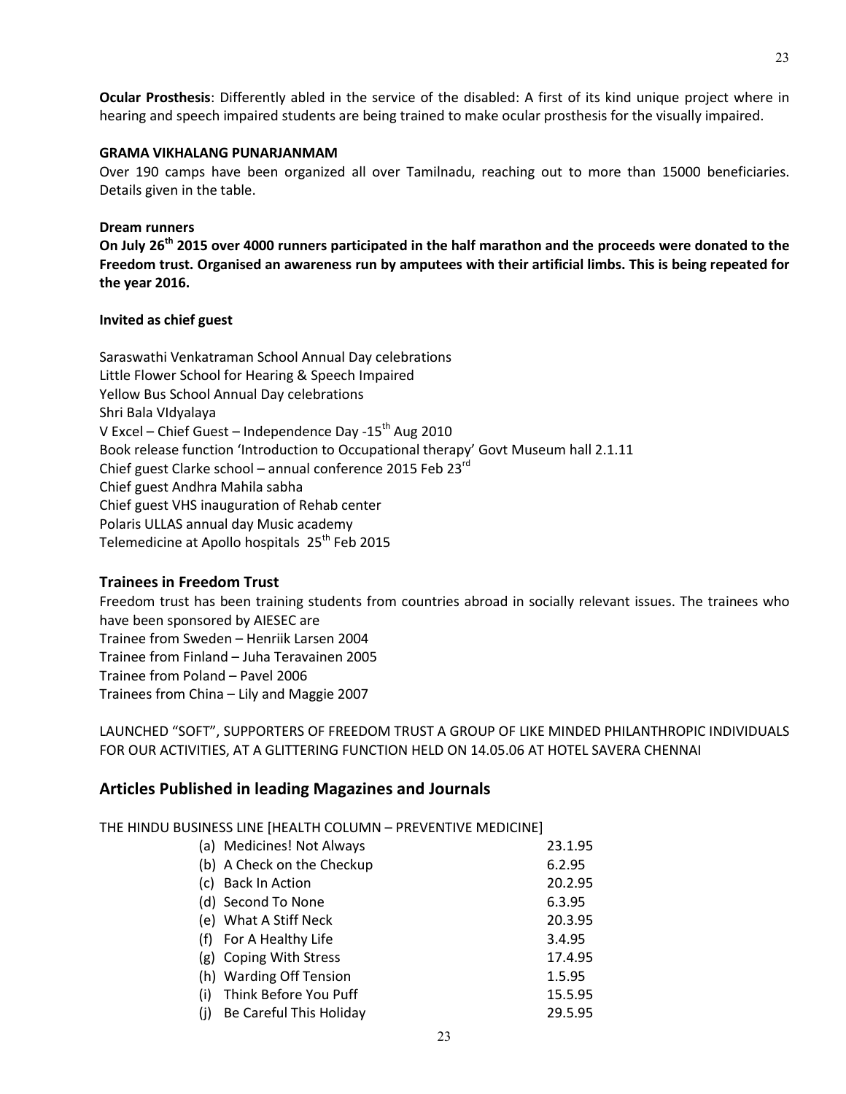**Ocular Prosthesis**: Differently abled in the service of the disabled: A first of its kind unique project where in hearing and speech impaired students are being trained to make ocular prosthesis for the visually impaired.

#### **GRAMA VIKHALANG PUNARJANMAM**

Over 190 camps have been organized all over Tamilnadu, reaching out to more than 15000 beneficiaries. Details given in the table.

#### **Dream runners**

**On July 26th 2015 over 4000 runners participated in the half marathon and the proceeds were donated to the Freedom trust. Organised an awareness run by amputees with their artificial limbs. This is being repeated for the year 2016.** 

#### **Invited as chief guest**

Saraswathi Venkatraman School Annual Day celebrations Little Flower School for Hearing & Speech Impaired Yellow Bus School Annual Day celebrations Shri Bala VIdyalaya V Excel – Chief Guest – Independence Day -15<sup>th</sup> Aug 2010 Book release function 'Introduction to Occupational therapy' Govt Museum hall 2.1.11 Chief guest Clarke school – annual conference 2015 Feb 23rd Chief guest Andhra Mahila sabha Chief guest VHS inauguration of Rehab center Polaris ULLAS annual day Music academy Telemedicine at Apollo hospitals 25<sup>th</sup> Feb 2015

#### **Trainees in Freedom Trust**

Freedom trust has been training students from countries abroad in socially relevant issues. The trainees who have been sponsored by AIESEC are Trainee from Sweden – Henriik Larsen 2004 Trainee from Finland – Juha Teravainen 2005 Trainee from Poland – Pavel 2006 Trainees from China – Lily and Maggie 2007

LAUNCHED "SOFT", SUPPORTERS OF FREEDOM TRUST A GROUP OF LIKE MINDED PHILANTHROPIC INDIVIDUALS FOR OUR ACTIVITIES, AT A GLITTERING FUNCTION HELD ON 14.05.06 AT HOTEL SAVERA CHENNAI

#### **Articles Published in leading Magazines and Journals**

THE HINDU BUSINESS LINE [HEALTH COLUMN – PREVENTIVE MEDICINE]

|     | (a) Medicines! Not Always  | 23.1.95 |
|-----|----------------------------|---------|
|     | (b) A Check on the Checkup | 6.2.95  |
|     | (c) Back In Action         | 20.2.95 |
|     | (d) Second To None         | 6.3.95  |
|     | (e) What A Stiff Neck      | 20.3.95 |
|     | (f) For A Healthy Life     | 3.4.95  |
|     | (g) Coping With Stress     | 17.4.95 |
|     | (h) Warding Off Tension    | 1.5.95  |
| (i) | Think Before You Puff      | 15.5.95 |
| (i) | Be Careful This Holiday    | 29.5.95 |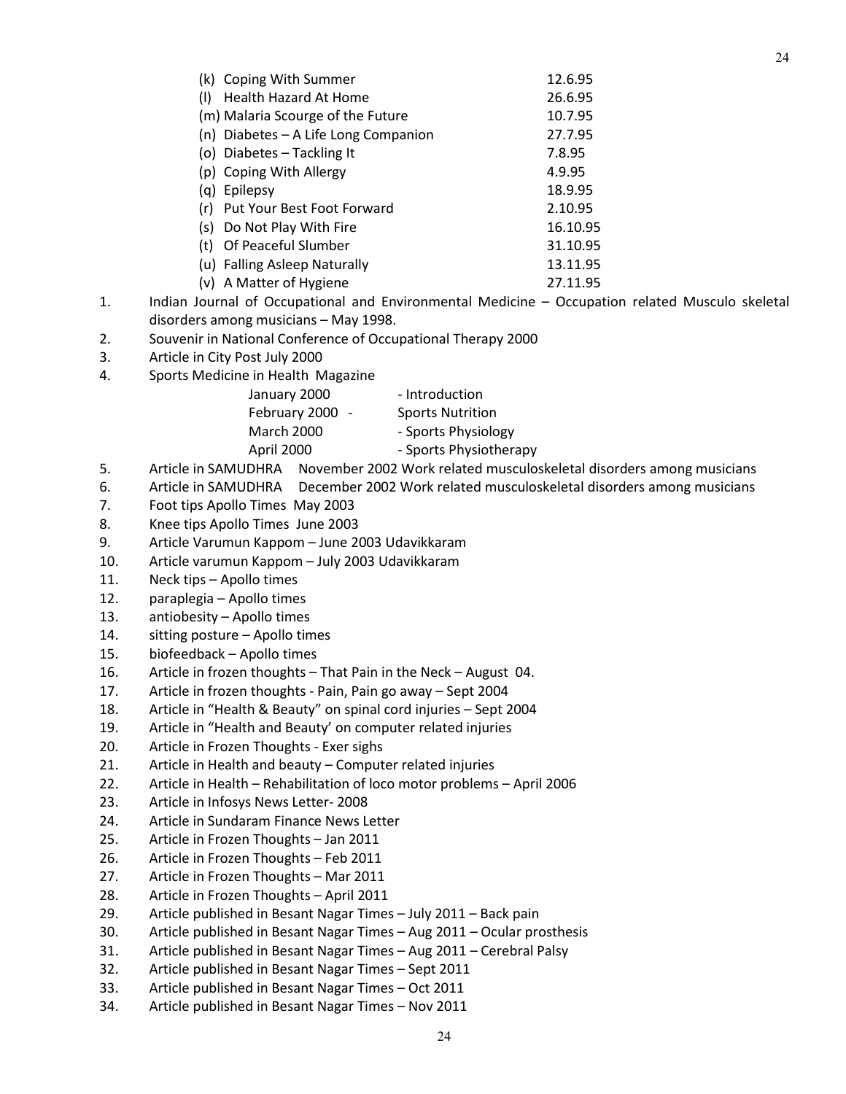|     | (k) Coping With Summer               | 12.6.95  |
|-----|--------------------------------------|----------|
| (1) | Health Hazard At Home                | 26.6.95  |
|     | (m) Malaria Scourge of the Future    | 10.7.95  |
|     | (n) Diabetes - A Life Long Companion | 27.7.95  |
|     | (o) Diabetes - Tackling It           | 7.8.95   |
|     | (p) Coping With Allergy              | 4.9.95   |
|     | (g) Epilepsy                         | 18.9.95  |
|     | (r) Put Your Best Foot Forward       | 2.10.95  |
|     | (s) Do Not Play With Fire            | 16.10.95 |
| (t) | Of Peaceful Slumber                  | 31.10.95 |
|     | (u) Falling Asleep Naturally         | 13.11.95 |
|     | (v) A Matter of Hygiene              | 27.11.95 |

- 1. Indian Journal of Occupational and Environmental Medicine Occupation related Musculo skeletal disorders among musicians – May 1998.
- 2. Souvenir in National Conference of Occupational Therapy 2000
- 3. Article in City Post July 2000
- 4. Sports Medicine in Health Magazine

| January 2000      | - Introduction          |
|-------------------|-------------------------|
| February 2000 -   | <b>Sports Nutrition</b> |
| <b>March 2000</b> | - Sports Physiology     |
| April 2000        | - Sports Physiotherapy  |
|                   |                         |

- 5. Article in SAMUDHRA November 2002 Work related musculoskeletal disorders among musicians
- 6. Article in SAMUDHRA December 2002 Work related musculoskeletal disorders among musicians
- 7. Foot tips Apollo Times May 2003
- 8. Knee tips Apollo Times June 2003
- 9. Article Varumun Kappom June 2003 Udavikkaram
- 10. Article varumun Kappom July 2003 Udavikkaram
- 11. Neck tips Apollo times
- 12. paraplegia Apollo times
- 13. antiobesity Apollo times
- 14. sitting posture Apollo times
- 15. biofeedback Apollo times
- 16. Article in frozen thoughts That Pain in the Neck August 04.
- 17. Article in frozen thoughts Pain, Pain go away Sept 2004
- 18. Article in "Health & Beauty" on spinal cord injuries Sept 2004
- 19. Article in "Health and Beauty' on computer related injuries
- 20. Article in Frozen Thoughts Exer sighs
- 21. Article in Health and beauty Computer related injuries
- 22. Article in Health Rehabilitation of loco motor problems April 2006
- 23. Article in Infosys News Letter- 2008
- 24. Article in Sundaram Finance News Letter
- 25. Article in Frozen Thoughts Jan 2011
- 26. Article in Frozen Thoughts Feb 2011
- 27. Article in Frozen Thoughts Mar 2011
- 28. Article in Frozen Thoughts April 2011
- 29. Article published in Besant Nagar Times July 2011 Back pain
- 30. Article published in Besant Nagar Times Aug 2011 Ocular prosthesis
- 31. Article published in Besant Nagar Times Aug 2011 Cerebral Palsy
- 32. Article published in Besant Nagar Times Sept 2011
- 33. Article published in Besant Nagar Times Oct 2011
- 34. Article published in Besant Nagar Times Nov 2011